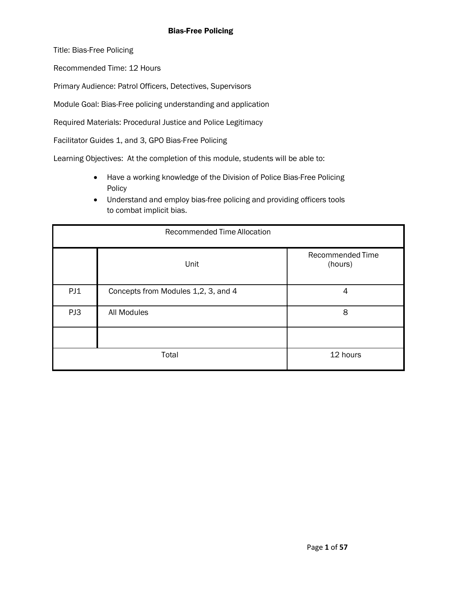Title: Bias-Free Policing

Recommended Time: 12 Hours

Primary Audience: Patrol Officers, Detectives, Supervisors

Module Goal: Bias-Free policing understanding and application

Required Materials: Procedural Justice and Police Legitimacy

Facilitator Guides 1, and 3, GPO Bias-Free Policing

Learning Objectives: At the completion of this module, students will be able to:

- Have a working knowledge of the Division of Police Bias-Free Policing Policy
- Understand and employ bias-free policing and providing officers tools to combat implicit bias.

| <b>Recommended Time Allocation</b> |                                     |                             |  |
|------------------------------------|-------------------------------------|-----------------------------|--|
|                                    | Unit                                | Recommended Time<br>(hours) |  |
| PJ1                                | Concepts from Modules 1,2, 3, and 4 | 4                           |  |
| PJ3                                | All Modules                         | 8                           |  |
|                                    |                                     |                             |  |
| Total                              |                                     | 12 hours                    |  |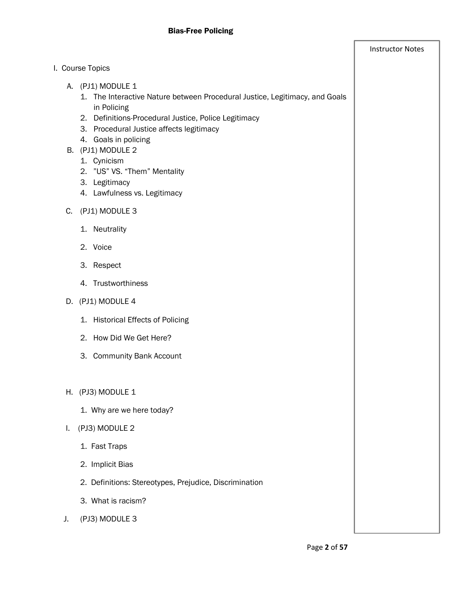|    | I. Course Topics                                                                                                                                                                                                                                                                                                                 |  |
|----|----------------------------------------------------------------------------------------------------------------------------------------------------------------------------------------------------------------------------------------------------------------------------------------------------------------------------------|--|
|    | A. (PJ1) MODULE 1<br>1. The Interactive Nature between Procedural Justice, Legitimacy, and Goals<br>in Policing<br>2. Definitions-Procedural Justice, Police Legitimacy<br>3. Procedural Justice affects legitimacy<br>4. Goals in policing<br>B. (PJ1) MODULE 2<br>1. Cynicism<br>2. "US" VS. "Them" Mentality<br>3. Legitimacy |  |
|    | 4. Lawfulness vs. Legitimacy                                                                                                                                                                                                                                                                                                     |  |
| C. | (PJ1) MODULE 3                                                                                                                                                                                                                                                                                                                   |  |
|    | 1. Neutrality                                                                                                                                                                                                                                                                                                                    |  |
|    | 2. Voice                                                                                                                                                                                                                                                                                                                         |  |
|    | 3. Respect                                                                                                                                                                                                                                                                                                                       |  |
|    | 4. Trustworthiness                                                                                                                                                                                                                                                                                                               |  |
|    | D. (PJ1) MODULE 4                                                                                                                                                                                                                                                                                                                |  |
|    | 1. Historical Effects of Policing                                                                                                                                                                                                                                                                                                |  |
|    | 2. How Did We Get Here?                                                                                                                                                                                                                                                                                                          |  |
|    | 3. Community Bank Account                                                                                                                                                                                                                                                                                                        |  |
|    |                                                                                                                                                                                                                                                                                                                                  |  |
|    | H. (PJ3) MODULE 1                                                                                                                                                                                                                                                                                                                |  |
|    | 1. Why are we here today?                                                                                                                                                                                                                                                                                                        |  |
| I. | (PJ3) MODULE 2                                                                                                                                                                                                                                                                                                                   |  |
|    | 1. Fast Traps                                                                                                                                                                                                                                                                                                                    |  |
|    | 2. Implicit Bias                                                                                                                                                                                                                                                                                                                 |  |
|    | 2. Definitions: Stereotypes, Prejudice, Discrimination                                                                                                                                                                                                                                                                           |  |
|    | 3. What is racism?                                                                                                                                                                                                                                                                                                               |  |
| J. | (PJ3) MODULE 3                                                                                                                                                                                                                                                                                                                   |  |
|    |                                                                                                                                                                                                                                                                                                                                  |  |

Instructor Notes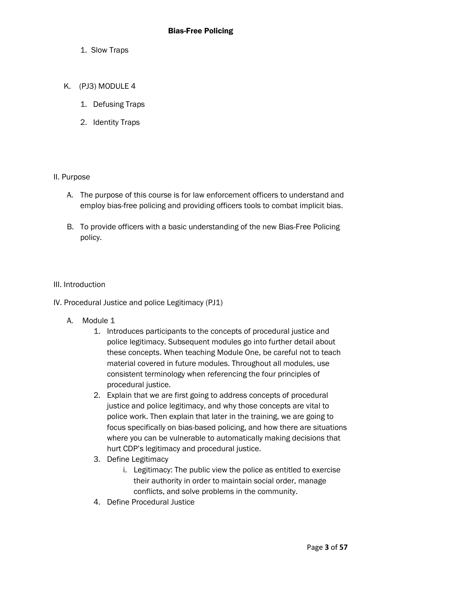- 1. Slow Traps
- K. (PJ3) MODULE 4
	- 1. Defusing Traps
	- 2. Identity Traps

#### II. Purpose

- A. The purpose of this course is for law enforcement officers to understand and employ bias-free policing and providing officers tools to combat implicit bias.
- B. To provide officers with a basic understanding of the new Bias-Free Policing policy.

#### III. Introduction

- IV. Procedural Justice and police Legitimacy (PJ1)
	- A. Module 1
		- 1. Introduces participants to the concepts of procedural justice and police legitimacy. Subsequent modules go into further detail about these concepts. When teaching Module One, be careful not to teach material covered in future modules. Throughout all modules, use consistent terminology when referencing the four principles of procedural justice.
		- 2. Explain that we are first going to address concepts of procedural justice and police legitimacy, and why those concepts are vital to police work. Then explain that later in the training, we are going to focus specifically on bias-based policing, and how there are situations where you can be vulnerable to automatically making decisions that hurt CDP's legitimacy and procedural justice.
		- 3. Define Legitimacy
			- i. Legitimacy: The public view the police as entitled to exercise their authority in order to maintain social order, manage conflicts, and solve problems in the community.
		- 4. Define Procedural Justice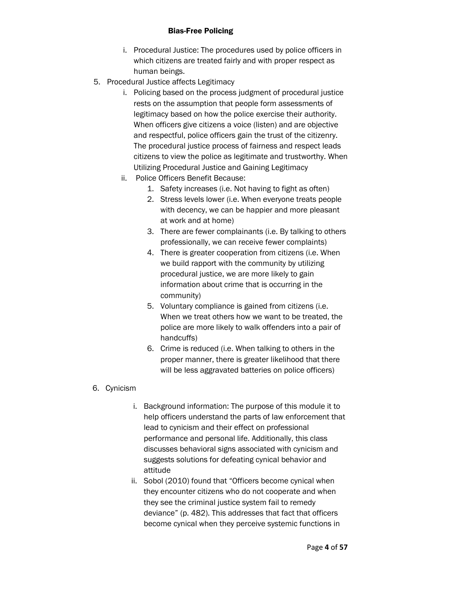- i. Procedural Justice: The procedures used by police officers in which citizens are treated fairly and with proper respect as human beings.
- 5. Procedural Justice affects Legitimacy
	- i. Policing based on the process judgment of procedural justice rests on the assumption that people form assessments of legitimacy based on how the police exercise their authority. When officers give citizens a voice (listen) and are objective and respectful, police officers gain the trust of the citizenry. The procedural justice process of fairness and respect leads citizens to view the police as legitimate and trustworthy. When Utilizing Procedural Justice and Gaining Legitimacy
	- ii. Police Officers Benefit Because:
		- 1. Safety increases (i.e. Not having to fight as often)
		- 2. Stress levels lower (i.e. When everyone treats people with decency, we can be happier and more pleasant at work and at home)
		- 3. There are fewer complainants (i.e. By talking to others professionally, we can receive fewer complaints)
		- 4. There is greater cooperation from citizens (i.e. When we build rapport with the community by utilizing procedural justice, we are more likely to gain information about crime that is occurring in the community)
		- 5. Voluntary compliance is gained from citizens (i.e. When we treat others how we want to be treated, the police are more likely to walk offenders into a pair of handcuffs)
		- 6. Crime is reduced (i.e. When talking to others in the proper manner, there is greater likelihood that there will be less aggravated batteries on police officers)

# 6. Cynicism

- i. Background information: The purpose of this module it to help officers understand the parts of law enforcement that lead to cynicism and their effect on professional performance and personal life. Additionally, this class discusses behavioral signs associated with cynicism and suggests solutions for defeating cynical behavior and attitude
- ii. Sobol (2010) found that "Officers become cynical when they encounter citizens who do not cooperate and when they see the criminal justice system fail to remedy deviance" (p. 482). This addresses that fact that officers become cynical when they perceive systemic functions in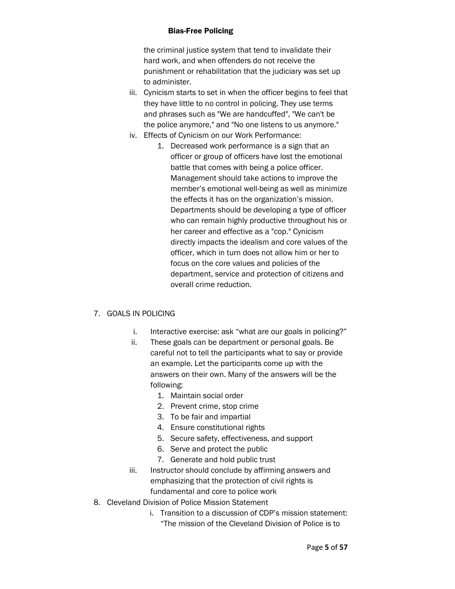the criminal justice system that tend to invalidate their hard work, and when offenders do not receive the punishment or rehabilitation that the judiciary was set up to administer.

- iii. Cynicism starts to set in when the officer begins to feel that they have little to no control in policing. They use terms and phrases such as "We are handcuffed", "We can't be the police anymore," and "No one listens to us anymore."
- iv. Effects of Cynicism on our Work Performance:
	- 1. Decreased work performance is a sign that an officer or group of officers have lost the emotional battle that comes with being a police officer. Management should take actions to improve the member's emotional well-being as well as minimize the effects it has on the organization's mission. Departments should be developing a type of officer who can remain highly productive throughout his or her career and effective as a "cop." Cynicism directly impacts the idealism and core values of the officer, which in turn does not allow him or her to focus on the core values and policies of the department, service and protection of citizens and overall crime reduction.

# 7. GOALS IN POLICING

- i. Interactive exercise: ask "what are our goals in policing?"
- ii. These goals can be department or personal goals. Be careful not to tell the participants what to say or provide an example. Let the participants come up with the answers on their own. Many of the answers will be the following:
	- 1. Maintain social order
	- 2. Prevent crime, stop crime
	- 3. To be fair and impartial
	- 4. Ensure constitutional rights
	- 5. Secure safety, effectiveness, and support
	- 6. Serve and protect the public
	- 7. Generate and hold public trust
- iii. Instructor should conclude by affirming answers and emphasizing that the protection of civil rights is fundamental and core to police work
- 8. Cleveland Division of Police Mission Statement
	- i. Transition to a discussion of CDP's mission statement: "The mission of the Cleveland Division of Police is to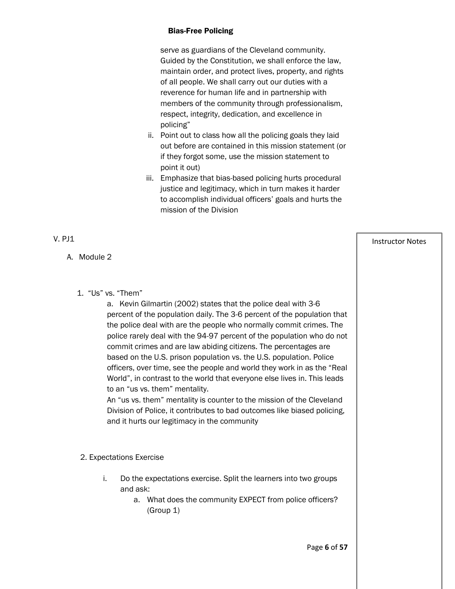serve as guardians of the Cleveland community. Guided by the Constitution, we shall enforce the law, maintain order, and protect lives, property, and rights of all people. We shall carry out our duties with a reverence for human life and in partnership with members of the community through professionalism, respect, integrity, dedication, and excellence in policing"

- ii. Point out to class how all the policing goals they laid out before are contained in this mission statement (or if they forgot some, use the mission statement to point it out)
- iii. Emphasize that bias-based policing hurts procedural justice and legitimacy, which in turn makes it harder to accomplish individual officers' goals and hurts the mission of the Division

| $V.$ PJ1                                                                                                                                                                                                                                                                                                                                                                                                                                                                                                                                                                                                                         | <b>Instructor Notes</b> |
|----------------------------------------------------------------------------------------------------------------------------------------------------------------------------------------------------------------------------------------------------------------------------------------------------------------------------------------------------------------------------------------------------------------------------------------------------------------------------------------------------------------------------------------------------------------------------------------------------------------------------------|-------------------------|
| A. Module 2<br>1. "Us" vs. "Them"<br>a. Kevin Gilmartin (2002) states that the police deal with 3-6<br>percent of the population daily. The 3-6 percent of the population that<br>the police deal with are the people who normally commit crimes. The<br>police rarely deal with the 94-97 percent of the population who do not<br>commit crimes and are law abiding citizens. The percentages are<br>based on the U.S. prison population vs. the U.S. population. Police<br>officers, over time, see the people and world they work in as the "Real<br>World", in contrast to the world that everyone else lives in. This leads |                         |
| to an "us vs. them" mentality.<br>An "us vs. them" mentality is counter to the mission of the Cleveland<br>Division of Police, it contributes to bad outcomes like biased policing,<br>and it hurts our legitimacy in the community<br>2. Expectations Exercise                                                                                                                                                                                                                                                                                                                                                                  |                         |
| i.<br>Do the expectations exercise. Split the learners into two groups<br>and ask:<br>What does the community EXPECT from police officers?<br>а.<br>(Group 1)                                                                                                                                                                                                                                                                                                                                                                                                                                                                    |                         |
| Page 6 of 57                                                                                                                                                                                                                                                                                                                                                                                                                                                                                                                                                                                                                     |                         |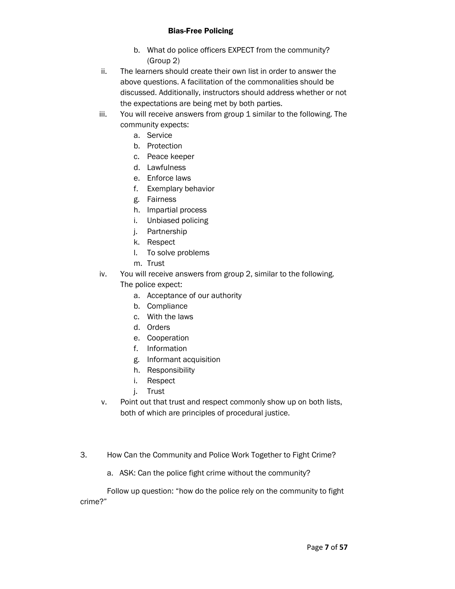- b. What do police officers EXPECT from the community? (Group 2)
- ii. The learners should create their own list in order to answer the above questions. A facilitation of the commonalities should be discussed. Additionally, instructors should address whether or not the expectations are being met by both parties.
- iii. You will receive answers from group 1 similar to the following. The community expects:
	- a. Service
	- b. Protection
	- c. Peace keeper
	- d. Lawfulness
	- e. Enforce laws
	- f. Exemplary behavior
	- g. Fairness
	- h. Impartial process
	- i. Unbiased policing
	- j. Partnership
	- k. Respect
	- l. To solve problems
	- m. Trust
- iv. You will receive answers from group 2, similar to the following. The police expect:
	- a. Acceptance of our authority
	- b. Compliance
	- c. With the laws
	- d. Orders
	- e. Cooperation
	- f. Information
	- g. Informant acquisition
	- h. Responsibility
	- i. Respect
	- j. Trust
- v. Point out that trust and respect commonly show up on both lists, both of which are principles of procedural justice.
- 3. How Can the Community and Police Work Together to Fight Crime?
	- a. ASK: Can the police fight crime without the community?

Follow up question: "how do the police rely on the community to fight crime?"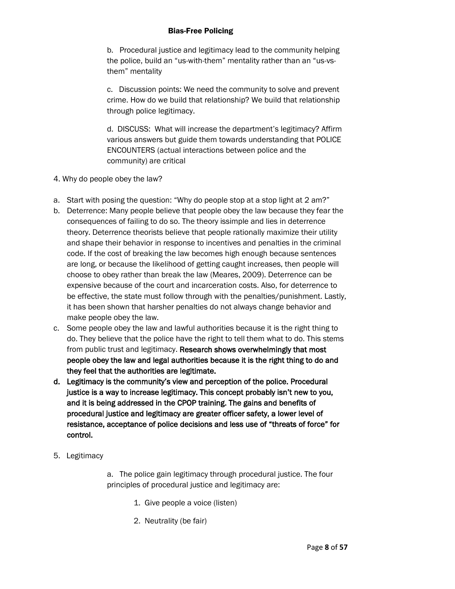b. Procedural justice and legitimacy lead to the community helping the police, build an "us-with-them" mentality rather than an "us-vsthem" mentality

c. Discussion points: We need the community to solve and prevent crime. How do we build that relationship? We build that relationship through police legitimacy.

d. DISCUSS: What will increase the department's legitimacy? Affirm various answers but guide them towards understanding that POLICE ENCOUNTERS (actual interactions between police and the community) are critical

- 4. Why do people obey the law?
- a. Start with posing the question: "Why do people stop at a stop light at 2 am?"
- b. Deterrence: Many people believe that people obey the law because they fear the consequences of failing to do so. The theory issimple and lies in deterrence theory. Deterrence theorists believe that people rationally maximize their utility and shape their behavior in response to incentives and penalties in the criminal code. If the cost of breaking the law becomes high enough because sentences are long, or because the likelihood of getting caught increases, then people will choose to obey rather than break the law (Meares, 2009). Deterrence can be expensive because of the court and incarceration costs. Also, for deterrence to be effective, the state must follow through with the penalties/punishment. Lastly, it has been shown that harsher penalties do not always change behavior and make people obey the law.
- c. Some people obey the law and lawful authorities because it is the right thing to do. They believe that the police have the right to tell them what to do. This stems from public trust and legitimacy. Research shows overwhelmingly that most people obey the law and legal authorities because it is the right thing to do and they feel that the authorities are legitimate.
- d. Legitimacy is the community's view and perception of the police. Procedural justice is a way to increase legitimacy. This concept probably isn't new to you, and it is being addressed in the CPOP training. The gains and benefits of procedural justice and legitimacy are greater officer safety, a lower level of resistance, acceptance of police decisions and less use of "threats of force" for control.
- 5. Legitimacy

a. The police gain legitimacy through procedural justice. The four principles of procedural justice and legitimacy are:

- 1. Give people a voice (listen)
- 2. Neutrality (be fair)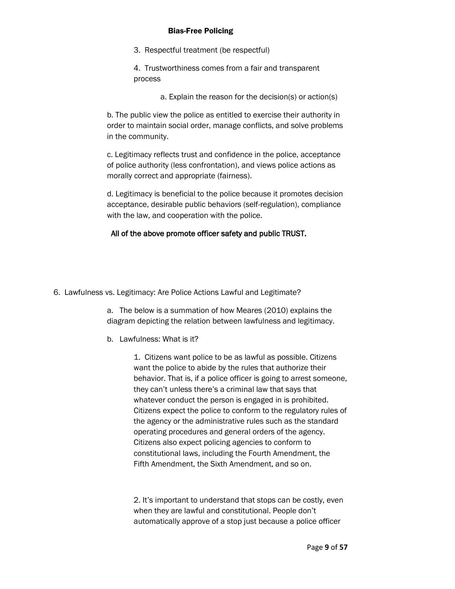- 3. Respectful treatment (be respectful)
- 4. Trustworthiness comes from a fair and transparent process
	- a. Explain the reason for the decision(s) or action(s)

b. The public view the police as entitled to exercise their authority in order to maintain social order, manage conflicts, and solve problems in the community.

c. Legitimacy reflects trust and confidence in the police, acceptance of police authority (less confrontation), and views police actions as morally correct and appropriate (fairness).

d. Legitimacy is beneficial to the police because it promotes decision acceptance, desirable public behaviors (self-regulation), compliance with the law, and cooperation with the police.

# All of the above promote officer safety and public TRUST.

6. Lawfulness vs. Legitimacy: Are Police Actions Lawful and Legitimate?

a. The below is a summation of how Meares (2010) explains the diagram depicting the relation between lawfulness and legitimacy.

b. Lawfulness: What is it?

1. Citizens want police to be as lawful as possible. Citizens want the police to abide by the rules that authorize their behavior. That is, if a police officer is going to arrest someone, they can't unless there's a criminal law that says that whatever conduct the person is engaged in is prohibited. Citizens expect the police to conform to the regulatory rules of the agency or the administrative rules such as the standard operating procedures and general orders of the agency. Citizens also expect policing agencies to conform to constitutional laws, including the Fourth Amendment, the Fifth Amendment, the Sixth Amendment, and so on.

2. It's important to understand that stops can be costly, even when they are lawful and constitutional. People don't automatically approve of a stop just because a police officer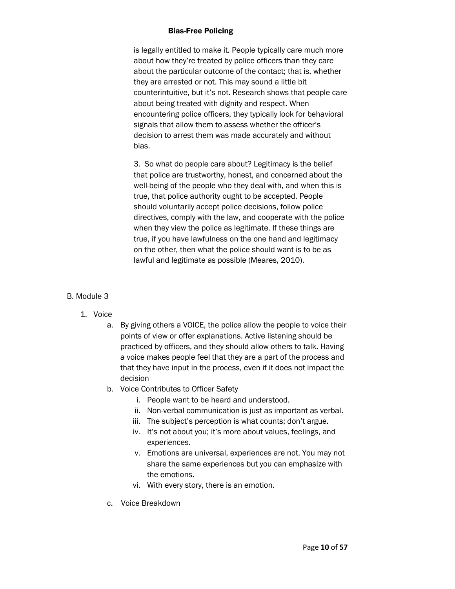is legally entitled to make it. People typically care much more about how they're treated by police officers than they care about the particular outcome of the contact; that is, whether they are arrested or not. This may sound a little bit counterintuitive, but it's not. Research shows that people care about being treated with dignity and respect. When encountering police officers, they typically look for behavioral signals that allow them to assess whether the officer's decision to arrest them was made accurately and without bias.

3. So what do people care about? Legitimacy is the belief that police are trustworthy, honest, and concerned about the well-being of the people who they deal with, and when this is true, that police authority ought to be accepted. People should voluntarily accept police decisions, follow police directives, comply with the law, and cooperate with the police when they view the police as legitimate. If these things are true, if you have lawfulness on the one hand and legitimacy on the other, then what the police should want is to be as lawful and legitimate as possible (Meares, 2010).

# B. Module 3

- 1. Voice
	- a. By giving others a VOICE, the police allow the people to voice their points of view or offer explanations. Active listening should be practiced by officers, and they should allow others to talk. Having a voice makes people feel that they are a part of the process and that they have input in the process, even if it does not impact the decision
	- b. Voice Contributes to Officer Safety
		- i. People want to be heard and understood.
		- ii. Non-verbal communication is just as important as verbal.
		- iii. The subject's perception is what counts; don't argue.
		- iv. It's not about you; it's more about values, feelings, and experiences.
		- v. Emotions are universal, experiences are not. You may not share the same experiences but you can emphasize with the emotions.
		- vi. With every story, there is an emotion.
	- c. Voice Breakdown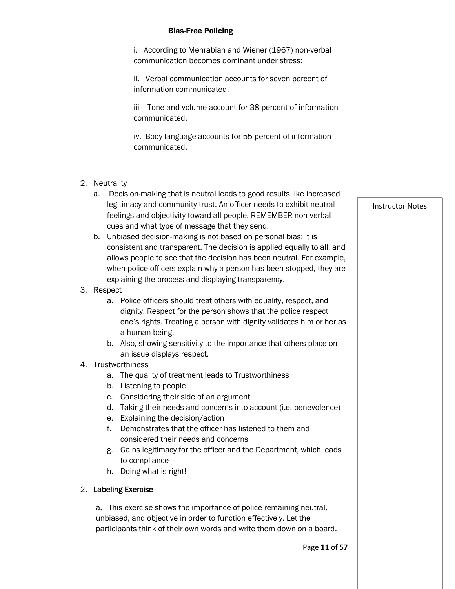i. According to Mehrabian and Wiener (1967) non-verbal communication becomes dominant under stress:

ii. Verbal communication accounts for seven percent of information communicated.

iii Tone and volume account for 38 percent of information communicated.

iv. Body language accounts for 55 percent of information communicated.

- 2. Neutrality
	- a. Decision-making that is neutral leads to good results like increased legitimacy and community trust. An officer needs to exhibit neutral feelings and objectivity toward all people. REMEMBER non-verbal cues and what type of message that they send.
	- b. Unbiased decision-making is not based on personal bias; it is consistent and transparent. The decision is applied equally to all, and allows people to see that the decision has been neutral. For example, when police officers explain why a person has been stopped, they are explaining the process and displaying transparency.
- 3. Respect
	- a. Police officers should treat others with equality, respect, and dignity. Respect for the person shows that the police respect one's rights. Treating a person with dignity validates him or her as a human being.
	- b. Also, showing sensitivity to the importance that others place on an issue displays respect.

# 4. Trustworthiness

- a. The quality of treatment leads to Trustworthiness
- b. Listening to people
- c. Considering their side of an argument
- d. Taking their needs and concerns into account (i.e. benevolence)
- e. Explaining the decision/action
- f. Demonstrates that the officer has listened to them and considered their needs and concerns
- g. Gains legitimacy for the officer and the Department, which leads to compliance
- h. Doing what is right!

# 2. Labeling Exercise

a. This exercise shows the importance of police remaining neutral, unbiased, and objective in order to function effectively. Let the participants think of their own words and write them down on a board.

Page **11** of **57**

Instructor Notes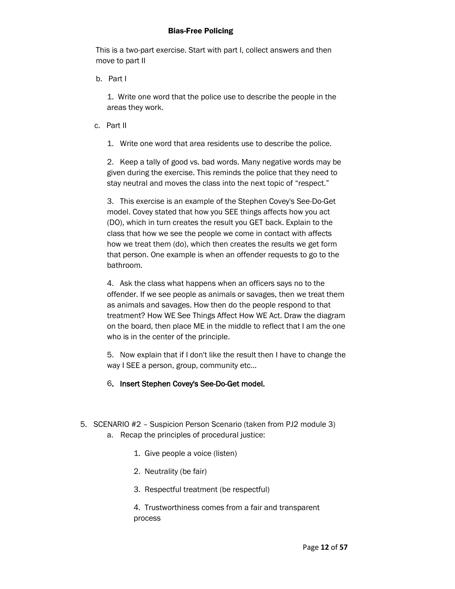This is a two-part exercise. Start with part I, collect answers and then move to part II

b. Part I

1. Write one word that the police use to describe the people in the areas they work.

- c. Part II
	- 1. Write one word that area residents use to describe the police.

2. Keep a tally of good vs. bad words. Many negative words may be given during the exercise. This reminds the police that they need to stay neutral and moves the class into the next topic of "respect."

3. This exercise is an example of the Stephen Covey's See-Do-Get model. Covey stated that how you SEE things affects how you act (DO), which in turn creates the result you GET back. Explain to the class that how we see the people we come in contact with affects how we treat them (do), which then creates the results we get form that person. One example is when an offender requests to go to the bathroom.

4. Ask the class what happens when an officers says no to the offender. If we see people as animals or savages, then we treat them as animals and savages. How then do the people respond to that treatment? How WE See Things Affect How WE Act. Draw the diagram on the board, then place ME in the middle to reflect that I am the one who is in the center of the principle.

5. Now explain that if I don't like the result then I have to change the way I SEE a person, group, community etc…

- 6. Insert Stephen Covey's See-Do-Get model.
- 5. SCENARIO #2 Suspicion Person Scenario (taken from PJ2 module 3) a. Recap the principles of procedural justice:
	- 1. Give people a voice (listen)
	- 2. Neutrality (be fair)
	- 3. Respectful treatment (be respectful)

4. Trustworthiness comes from a fair and transparent process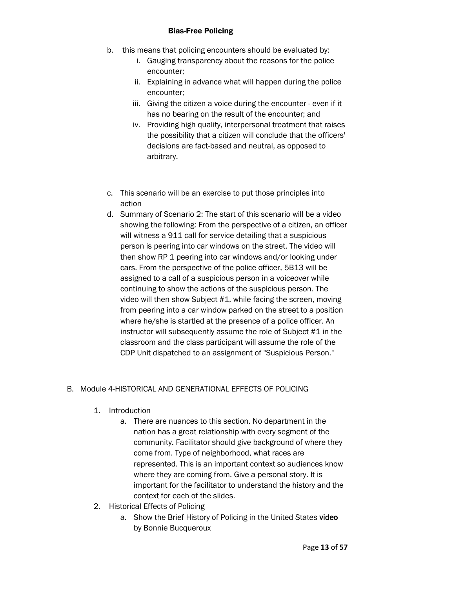- b. this means that policing encounters should be evaluated by:
	- i. Gauging transparency about the reasons for the police encounter;
	- ii. Explaining in advance what will happen during the police encounter;
	- iii. Giving the citizen a voice during the encounter even if it has no bearing on the result of the encounter; and
	- iv. Providing high quality, interpersonal treatment that raises the possibility that a citizen will conclude that the officers' decisions are fact-based and neutral, as opposed to arbitrary.
- c. This scenario will be an exercise to put those principles into action
- d. Summary of Scenario 2: The start of this scenario will be a video showing the following: From the perspective of a citizen, an officer will witness a 911 call for service detailing that a suspicious person is peering into car windows on the street. The video will then show RP 1 peering into car windows and/or looking under cars. From the perspective of the police officer, 5B13 will be assigned to a call of a suspicious person in a voiceover while continuing to show the actions of the suspicious person. The video will then show Subject #1, while facing the screen, moving from peering into a car window parked on the street to a position where he/she is startled at the presence of a police officer. An instructor will subsequently assume the role of Subject #1 in the classroom and the class participant will assume the role of the CDP Unit dispatched to an assignment of "Suspicious Person."

# B. Module 4-HISTORICAL AND GENERATIONAL EFFECTS OF POLICING

- 1. Introduction
	- a. There are nuances to this section. No department in the nation has a great relationship with every segment of the community. Facilitator should give background of where they come from. Type of neighborhood, what races are represented. This is an important context so audiences know where they are coming from. Give a personal story. It is important for the facilitator to understand the history and the context for each of the slides.
- 2. Historical Effects of Policing
	- a. Show the Brief History of Policing in the United States video by Bonnie Bucqueroux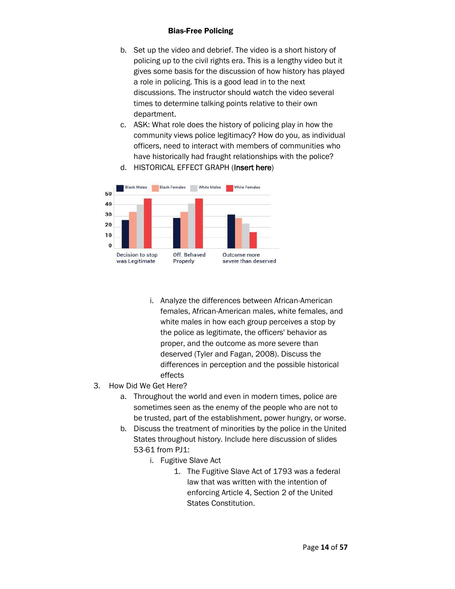- b. Set up the video and debrief. The video is a short history of policing up to the civil rights era. This is a lengthy video but it gives some basis for the discussion of how history has played a role in policing. This is a good lead in to the next discussions. The instructor should watch the video several times to determine talking points relative to their own department.
- c. ASK: What role does the history of policing play in how the community views police legitimacy? How do you, as individual officers, need to interact with members of communities who have historically had fraught relationships with the police?



d. HISTORICAL EFFECT GRAPH (Insert here)

- i. Analyze the differences between African-American females, African-American males, white females, and white males in how each group perceives a stop by the police as legitimate, the officers' behavior as proper, and the outcome as more severe than deserved (Tyler and Fagan, 2008). Discuss the differences in perception and the possible historical effects
- 3. How Did We Get Here?
	- a. Throughout the world and even in modern times, police are sometimes seen as the enemy of the people who are not to be trusted, part of the establishment, power hungry, or worse.
	- b. Discuss the treatment of minorities by the police in the United States throughout history. Include here discussion of slides 53-61 from PJ1:
		- i. Fugitive Slave Act
			- 1. The Fugitive Slave Act of 1793 was a federal law that was written with the intention of enforcing Article 4, Section 2 of the United States Constitution.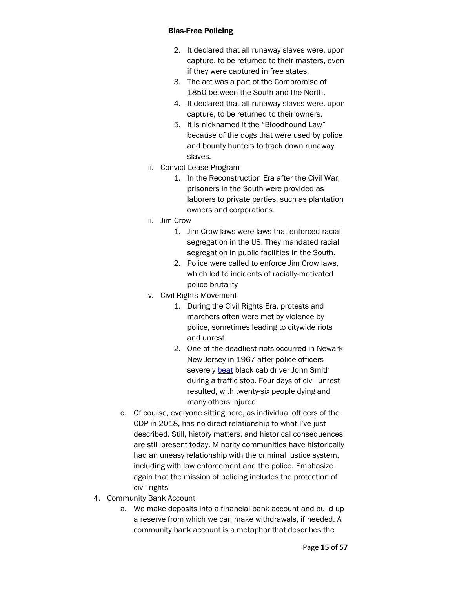- 2. It declared that all runaway slaves were, upon capture, to be returned to their masters, even if they were captured in free states.
- 3. The act was a part of the Compromise of 1850 between the South and the North.
- 4. It declared that all runaway slaves were, upon capture, to be returned to their owners.
- 5. It is nicknamed it the "Bloodhound Law" because of the dogs that were used by police and bounty hunters to track down runaway slaves.
- ii. Convict Lease Program
	- 1. In the Reconstruction Era after the Civil War, prisoners in the South were provided as laborers to private parties, such as plantation owners and corporations.
- iii. Jim Crow
	- 1. Jim Crow laws were laws that enforced racial segregation in the US. They mandated racial segregation in public facilities in the South.
	- 2. Police were called to enforce Jim Crow laws, which led to incidents of racially-motivated police brutality
- iv. Civil Rights Movement
	- 1. During the Civil Rights Era, protests and marchers often were met by violence by police, sometimes leading to citywide riots and unrest
	- 2. One of the deadliest riots occurred in Newark New Jersey in 1967 after police officers severely [beat](https://en.wikipedia.org/wiki/1967_Newark_riots) black cab driver John Smith during a traffic stop. Four days of civil unrest resulted, with twenty-six people dying and many others injured
- c. Of course, everyone sitting here, as individual officers of the CDP in 2018, has no direct relationship to what I've just described. Still, history matters, and historical consequences are still present today. Minority communities have historically had an uneasy relationship with the criminal justice system, including with law enforcement and the police. Emphasize again that the mission of policing includes the protection of civil rights
- 4. Community Bank Account
	- a. We make deposits into a financial bank account and build up a reserve from which we can make withdrawals, if needed. A community bank account is a metaphor that describes the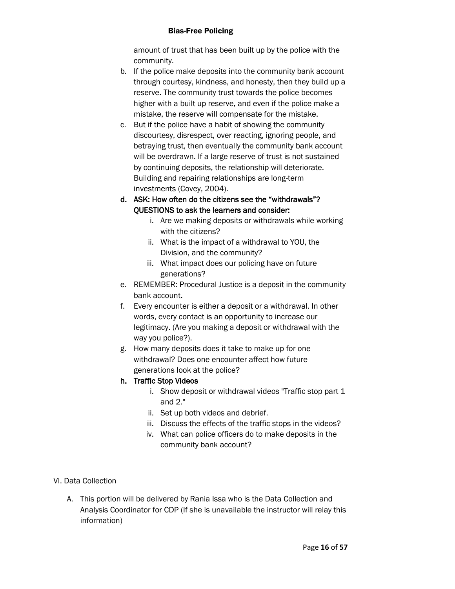amount of trust that has been built up by the police with the community.

- b. If the police make deposits into the community bank account through courtesy, kindness, and honesty, then they build up a reserve. The community trust towards the police becomes higher with a built up reserve, and even if the police make a mistake, the reserve will compensate for the mistake.
- c. But if the police have a habit of showing the community discourtesy, disrespect, over reacting, ignoring people, and betraying trust, then eventually the community bank account will be overdrawn. If a large reserve of trust is not sustained by continuing deposits, the relationship will deteriorate. Building and repairing relationships are long-term investments (Covey, 2004).
- d. ASK: How often do the citizens see the "withdrawals"? QUESTIONS to ask the learners and consider:
	- i. Are we making deposits or withdrawals while working with the citizens?
	- ii. What is the impact of a withdrawal to YOU, the Division, and the community?
	- iii. What impact does our policing have on future generations?
- e. REMEMBER: Procedural Justice is a deposit in the community bank account.
- f. Every encounter is either a deposit or a withdrawal. In other words, every contact is an opportunity to increase our legitimacy. (Are you making a deposit or withdrawal with the way you police?).
- g. How many deposits does it take to make up for one withdrawal? Does one encounter affect how future generations look at the police?

# h. Traffic Stop Videos

- i. Show deposit or withdrawal videos "Traffic stop part 1 and 2."
- ii. Set up both videos and debrief.
- iii. Discuss the effects of the traffic stops in the videos?
- iv. What can police officers do to make deposits in the community bank account?

# VI. Data Collection

A. This portion will be delivered by Rania Issa who is the Data Collection and Analysis Coordinator for CDP (If she is unavailable the instructor will relay this information)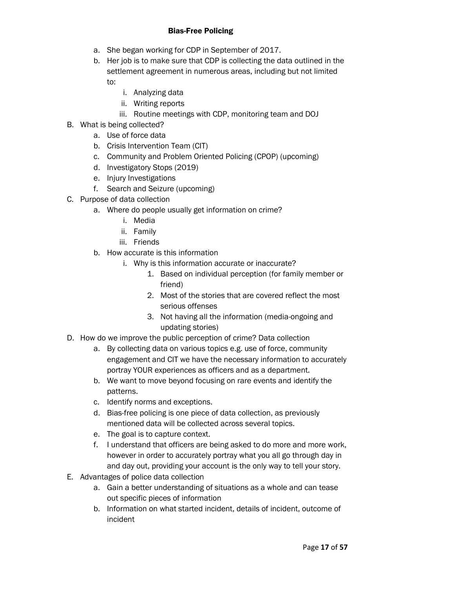- a. She began working for CDP in September of 2017.
- b. Her job is to make sure that CDP is collecting the data outlined in the settlement agreement in numerous areas, including but not limited to:
	- i. Analyzing data
	- ii. Writing reports
	- iii. Routine meetings with CDP, monitoring team and DOJ
- B. What is being collected?
	- a. Use of force data
	- b. Crisis Intervention Team (CIT)
	- c. Community and Problem Oriented Policing (CPOP) (upcoming)
	- d. Investigatory Stops (2019)
	- e. Injury Investigations
	- f. Search and Seizure (upcoming)
- C. Purpose of data collection
	- a. Where do people usually get information on crime?
		- i. Media
		- ii. Family
		- iii. Friends
	- b. How accurate is this information
		- i. Why is this information accurate or inaccurate?
			- 1. Based on individual perception (for family member or friend)
			- 2. Most of the stories that are covered reflect the most serious offenses
			- 3. Not having all the information (media-ongoing and updating stories)
- D. How do we improve the public perception of crime? Data collection
	- a. By collecting data on various topics e.g. use of force, community engagement and CIT we have the necessary information to accurately portray YOUR experiences as officers and as a department.
	- b. We want to move beyond focusing on rare events and identify the patterns.
	- c. Identify norms and exceptions.
	- d. Bias-free policing is one piece of data collection, as previously mentioned data will be collected across several topics.
	- e. The goal is to capture context.
	- f. I understand that officers are being asked to do more and more work, however in order to accurately portray what you all go through day in and day out, providing your account is the only way to tell your story.
- E. Advantages of police data collection
	- a. Gain a better understanding of situations as a whole and can tease out specific pieces of information
	- b. Information on what started incident, details of incident, outcome of incident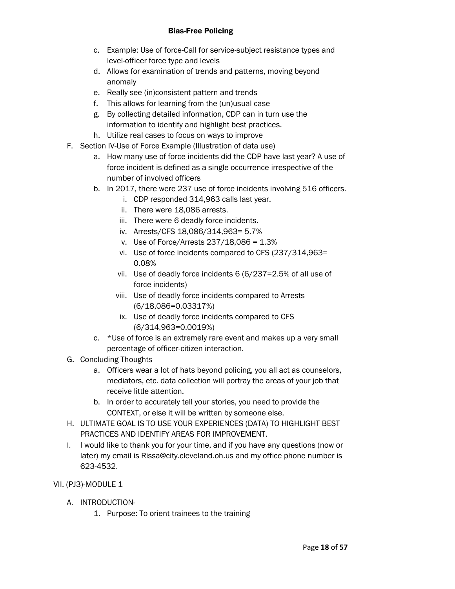- c. Example: Use of force-Call for service-subject resistance types and level-officer force type and levels
- d. Allows for examination of trends and patterns, moving beyond anomaly
- e. Really see (in)consistent pattern and trends
- f. This allows for learning from the (un)usual case
- g. By collecting detailed information, CDP can in turn use the information to identify and highlight best practices.
- h. Utilize real cases to focus on ways to improve
- F. Section IV-Use of Force Example (Illustration of data use)
	- a. How many use of force incidents did the CDP have last year? A use of force incident is defined as a single occurrence irrespective of the number of involved officers
	- b. In 2017, there were 237 use of force incidents involving 516 officers.
		- i. CDP responded 314,963 calls last year.
		- ii. There were 18,086 arrests.
		- iii. There were 6 deadly force incidents.
		- iv. Arrests/CFS 18,086/314,963= 5.7%
		- v. Use of Force/Arrests 237/18,086 = 1.3%
		- vi. Use of force incidents compared to CFS (237/314,963= 0.08%
		- vii. Use of deadly force incidents 6 (6/237=2.5% of all use of force incidents)
		- viii. Use of deadly force incidents compared to Arrests (6/18,086=0.03317%)
		- ix. Use of deadly force incidents compared to CFS (6/314,963=0.0019%)
	- c. \*Use of force is an extremely rare event and makes up a very small percentage of officer-citizen interaction.
- G. Concluding Thoughts
	- a. Officers wear a lot of hats beyond policing, you all act as counselors, mediators, etc. data collection will portray the areas of your job that receive little attention.
	- b. In order to accurately tell your stories, you need to provide the CONTEXT, or else it will be written by someone else.
- H. ULTIMATE GOAL IS TO USE YOUR EXPERIENCES (DATA) TO HIGHLIGHT BEST PRACTICES AND IDENTIFY AREAS FOR IMPROVEMENT.
- I. I would like to thank you for your time, and if you have any questions (now or later) my email is Rissa@city.cleveland.oh.us and my office phone number is 623-4532.

# VII. (PJ3)-MODULE 1

- A. INTRODUCTION-
	- 1. Purpose: To orient trainees to the training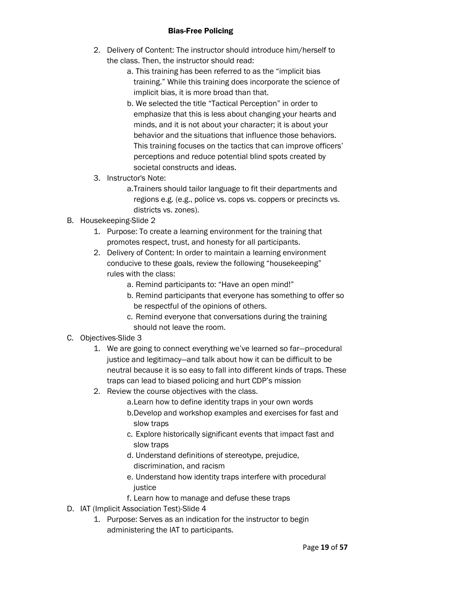- 2. Delivery of Content: The instructor should introduce him/herself to the class. Then, the instructor should read:
	- a. This training has been referred to as the "implicit bias training." While this training does incorporate the science of implicit bias, it is more broad than that.
	- b. We selected the title "Tactical Perception" in order to emphasize that this is less about changing your hearts and minds, and it is not about your character; it is about your behavior and the situations that influence those behaviors. This training focuses on the tactics that can improve officers' perceptions and reduce potential blind spots created by societal constructs and ideas.
- 3. Instructor's Note:
	- a.Trainers should tailor language to fit their departments and regions e.g. (e.g., police vs. cops vs. coppers or precincts vs. districts vs. zones).
- B. Housekeeping-Slide 2
	- 1. Purpose: To create a learning environment for the training that promotes respect, trust, and honesty for all participants.
	- 2. Delivery of Content: In order to maintain a learning environment conducive to these goals, review the following "housekeeping" rules with the class:
		- a. Remind participants to: "Have an open mind!"
		- b. Remind participants that everyone has something to offer so be respectful of the opinions of others.
		- c. Remind everyone that conversations during the training should not leave the room.
- C. Objectives-Slide 3
	- 1. We are going to connect everything we've learned so far—procedural justice and legitimacy—and talk about how it can be difficult to be neutral because it is so easy to fall into different kinds of traps. These traps can lead to biased policing and hurt CDP's mission
	- 2. Review the course objectives with the class.
		- a.Learn how to define identity traps in your own words b.Develop and workshop examples and exercises for fast and slow traps
		- c. Explore historically significant events that impact fast and slow traps
		- d. Understand definitions of stereotype, prejudice, discrimination, and racism
		- e. Understand how identity traps interfere with procedural justice
		- f. Learn how to manage and defuse these traps
- D. IAT (Implicit Association Test)-Slide 4
	- 1. Purpose: Serves as an indication for the instructor to begin administering the IAT to participants.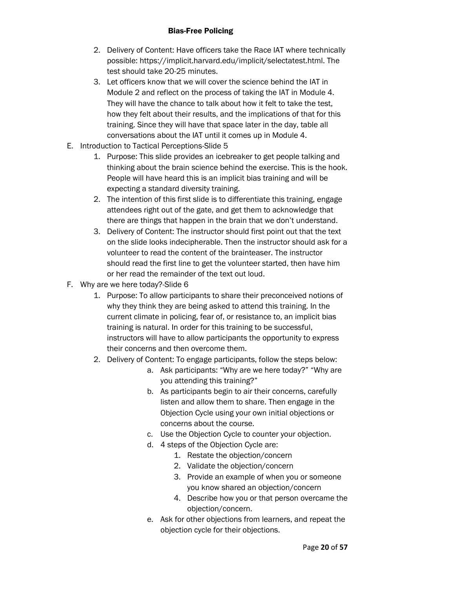- 2. Delivery of Content: Have officers take the Race IAT where technically possible: https://implicit.harvard.edu/implicit/selectatest.html. The test should take 20-25 minutes.
- 3. Let officers know that we will cover the science behind the IAT in Module 2 and reflect on the process of taking the IAT in Module 4. They will have the chance to talk about how it felt to take the test, how they felt about their results, and the implications of that for this training. Since they will have that space later in the day, table all conversations about the IAT until it comes up in Module 4.
- E. Introduction to Tactical Perceptions-Slide 5
	- 1. Purpose: This slide provides an icebreaker to get people talking and thinking about the brain science behind the exercise. This is the hook. People will have heard this is an implicit bias training and will be expecting a standard diversity training.
	- 2. The intention of this first slide is to differentiate this training, engage attendees right out of the gate, and get them to acknowledge that there are things that happen in the brain that we don't understand.
	- 3. Delivery of Content: The instructor should first point out that the text on the slide looks indecipherable. Then the instructor should ask for a volunteer to read the content of the brainteaser. The instructor should read the first line to get the volunteer started, then have him or her read the remainder of the text out loud.
- F. Why are we here today?-Slide 6
	- 1. Purpose: To allow participants to share their preconceived notions of why they think they are being asked to attend this training. In the current climate in policing, fear of, or resistance to, an implicit bias training is natural. In order for this training to be successful, instructors will have to allow participants the opportunity to express their concerns and then overcome them.
	- 2. Delivery of Content: To engage participants, follow the steps below:
		- a. Ask participants: "Why are we here today?" "Why are you attending this training?"
		- b. As participants begin to air their concerns, carefully listen and allow them to share. Then engage in the Objection Cycle using your own initial objections or concerns about the course.
		- c. Use the Objection Cycle to counter your objection.
		- d. 4 steps of the Objection Cycle are:
			- 1. Restate the objection/concern
			- 2. Validate the objection/concern
			- 3. Provide an example of when you or someone you know shared an objection/concern
			- 4. Describe how you or that person overcame the objection/concern.
		- e. Ask for other objections from learners, and repeat the objection cycle for their objections.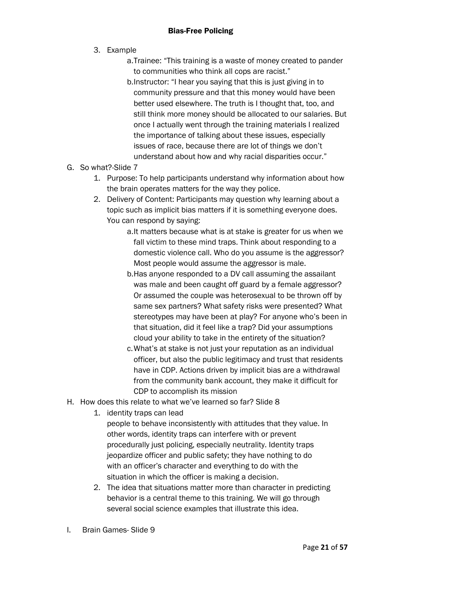- 3. Example
	- a.Trainee: "This training is a waste of money created to pander to communities who think all cops are racist."
	- b.Instructor: "I hear you saying that this is just giving in to community pressure and that this money would have been better used elsewhere. The truth is I thought that, too, and still think more money should be allocated to our salaries. But once I actually went through the training materials I realized the importance of talking about these issues, especially issues of race, because there are lot of things we don't understand about how and why racial disparities occur."
- G. So what?-Slide 7
	- 1. Purpose: To help participants understand why information about how the brain operates matters for the way they police.
	- 2. Delivery of Content: Participants may question why learning about a topic such as implicit bias matters if it is something everyone does. You can respond by saying:
		- a.It matters because what is at stake is greater for us when we fall victim to these mind traps. Think about responding to a domestic violence call. Who do you assume is the aggressor? Most people would assume the aggressor is male.
		- b.Has anyone responded to a DV call assuming the assailant was male and been caught off guard by a female aggressor? Or assumed the couple was heterosexual to be thrown off by same sex partners? What safety risks were presented? What stereotypes may have been at play? For anyone who's been in that situation, did it feel like a trap? Did your assumptions cloud your ability to take in the entirety of the situation?
		- c.What's at stake is not just your reputation as an individual officer, but also the public legitimacy and trust that residents have in CDP. Actions driven by implicit bias are a withdrawal from the community bank account, they make it difficult for CDP to accomplish its mission
- H. How does this relate to what we've learned so far? Slide 8
	- 1. identity traps can lead
		- people to behave inconsistently with attitudes that they value. In other words, identity traps can interfere with or prevent procedurally just policing, especially neutrality. Identity traps jeopardize officer and public safety; they have nothing to do with an officer's character and everything to do with the situation in which the officer is making a decision.
	- 2. The idea that situations matter more than character in predicting behavior is a central theme to this training. We will go through several social science examples that illustrate this idea.
- I. Brain Games- Slide 9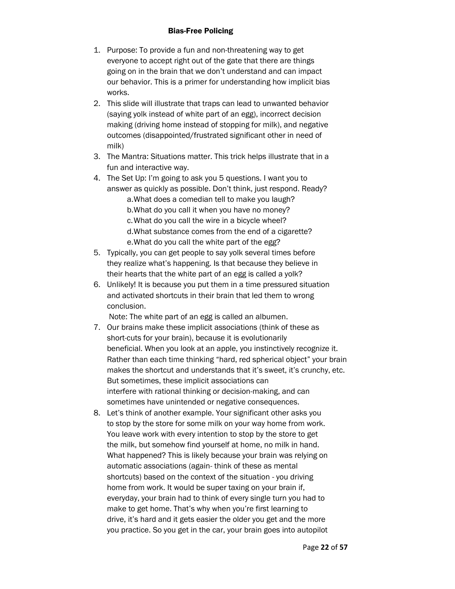- 1. Purpose: To provide a fun and non-threatening way to get everyone to accept right out of the gate that there are things going on in the brain that we don't understand and can impact our behavior. This is a primer for understanding how implicit bias works.
- 2. This slide will illustrate that traps can lead to unwanted behavior (saying yolk instead of white part of an egg), incorrect decision making (driving home instead of stopping for milk), and negative outcomes (disappointed/frustrated significant other in need of milk)
- 3. The Mantra: Situations matter. This trick helps illustrate that in a fun and interactive way.
- 4. The Set Up: I'm going to ask you 5 questions. I want you to answer as quickly as possible. Don't think, just respond. Ready? a.What does a comedian tell to make you laugh? b.What do you call it when you have no money? c.What do you call the wire in a bicycle wheel? d.What substance comes from the end of a cigarette? e.What do you call the white part of the egg?
- 5. Typically, you can get people to say yolk several times before they realize what's happening. Is that because they believe in their hearts that the white part of an egg is called a yolk?
- 6. Unlikely! It is because you put them in a time pressured situation and activated shortcuts in their brain that led them to wrong conclusion.

Note: The white part of an egg is called an albumen.

- 7. Our brains make these implicit associations (think of these as short-cuts for your brain), because it is evolutionarily beneficial. When you look at an apple, you instinctively recognize it. Rather than each time thinking "hard, red spherical object" your brain makes the shortcut and understands that it's sweet, it's crunchy, etc. But sometimes, these implicit associations can interfere with rational thinking or decision-making, and can sometimes have unintended or negative consequences.
- 8. Let's think of another example. Your significant other asks you to stop by the store for some milk on your way home from work. You leave work with every intention to stop by the store to get the milk, but somehow find yourself at home, no milk in hand. What happened? This is likely because your brain was relying on automatic associations (again- think of these as mental shortcuts) based on the context of the situation - you driving home from work. It would be super taxing on your brain if, everyday, your brain had to think of every single turn you had to make to get home. That's why when you're first learning to drive, it's hard and it gets easier the older you get and the more you practice. So you get in the car, your brain goes into autopilot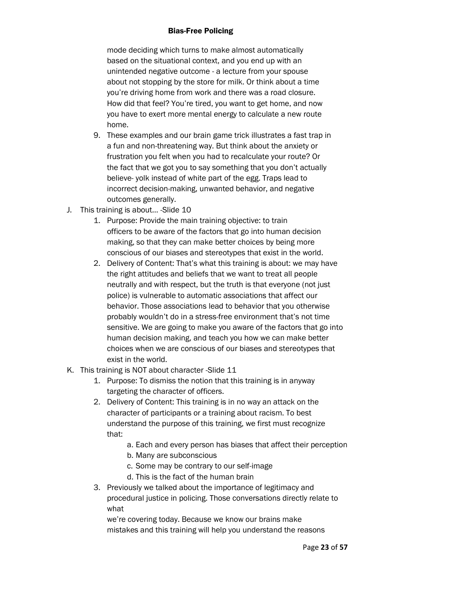mode deciding which turns to make almost automatically based on the situational context, and you end up with an unintended negative outcome - a lecture from your spouse about not stopping by the store for milk. Or think about a time you're driving home from work and there was a road closure. How did that feel? You're tired, you want to get home, and now you have to exert more mental energy to calculate a new route home.

- 9. These examples and our brain game trick illustrates a fast trap in a fun and non-threatening way. But think about the anxiety or frustration you felt when you had to recalculate your route? Or the fact that we got you to say something that you don't actually believe- yolk instead of white part of the egg. Traps lead to incorrect decision-making, unwanted behavior, and negative outcomes generally.
- J. This training is about… -Slide 10
	- 1. Purpose: Provide the main training objective: to train officers to be aware of the factors that go into human decision making, so that they can make better choices by being more conscious of our biases and stereotypes that exist in the world.
	- 2. Delivery of Content: That's what this training is about: we may have the right attitudes and beliefs that we want to treat all people neutrally and with respect, but the truth is that everyone (not just police) is vulnerable to automatic associations that affect our behavior. Those associations lead to behavior that you otherwise probably wouldn't do in a stress-free environment that's not time sensitive. We are going to make you aware of the factors that go into human decision making, and teach you how we can make better choices when we are conscious of our biases and stereotypes that exist in the world.
- K. This training is NOT about character -Slide 11
	- 1. Purpose: To dismiss the notion that this training is in anyway targeting the character of officers.
	- 2. Delivery of Content: This training is in no way an attack on the character of participants or a training about racism. To best understand the purpose of this training, we first must recognize that:
		- a. Each and every person has biases that affect their perception
		- b. Many are subconscious
		- c. Some may be contrary to our self-image
		- d. This is the fact of the human brain
	- 3. Previously we talked about the importance of legitimacy and procedural justice in policing. Those conversations directly relate to what

we're covering today. Because we know our brains make mistakes and this training will help you understand the reasons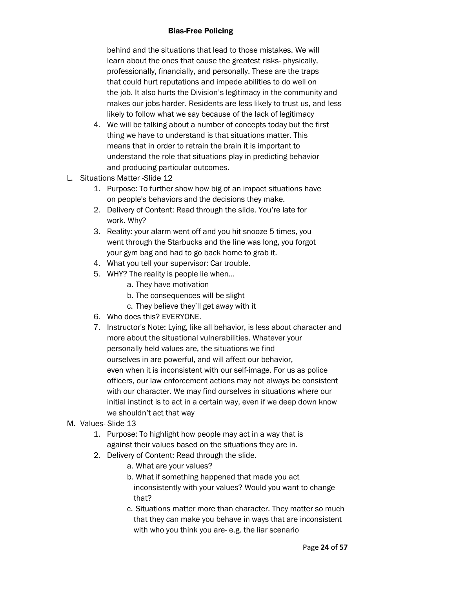behind and the situations that lead to those mistakes. We will learn about the ones that cause the greatest risks- physically, professionally, financially, and personally. These are the traps that could hurt reputations and impede abilities to do well on the job. It also hurts the Division's legitimacy in the community and makes our jobs harder. Residents are less likely to trust us, and less likely to follow what we say because of the lack of legitimacy

- 4. We will be talking about a number of concepts today but the first thing we have to understand is that situations matter. This means that in order to retrain the brain it is important to understand the role that situations play in predicting behavior and producing particular outcomes.
- L. Situations Matter -Slide 12
	- 1. Purpose: To further show how big of an impact situations have on people's behaviors and the decisions they make.
	- 2. Delivery of Content: Read through the slide. You're late for work. Why?
	- 3. Reality: your alarm went off and you hit snooze 5 times, you went through the Starbucks and the line was long, you forgot your gym bag and had to go back home to grab it.
	- 4. What you tell your supervisor: Car trouble.
	- 5. WHY? The reality is people lie when...
		- a. They have motivation
		- b. The consequences will be slight
		- c. They believe they'll get away with it
	- 6. Who does this? EVERYONE.
	- 7. Instructor's Note: Lying, like all behavior, is less about character and more about the situational vulnerabilities. Whatever your personally held values are, the situations we find ourselves in are powerful, and will affect our behavior, even when it is inconsistent with our self-image. For us as police officers, our law enforcement actions may not always be consistent with our character. We may find ourselves in situations where our initial instinct is to act in a certain way, even if we deep down know we shouldn't act that way
- M. Values- Slide 13
	- 1. Purpose: To highlight how people may act in a way that is against their values based on the situations they are in.
	- 2. Delivery of Content: Read through the slide.
		- a. What are your values?
		- b. What if something happened that made you act inconsistently with your values? Would you want to change that?
		- c. Situations matter more than character. They matter so much that they can make you behave in ways that are inconsistent with who you think you are- e.g. the liar scenario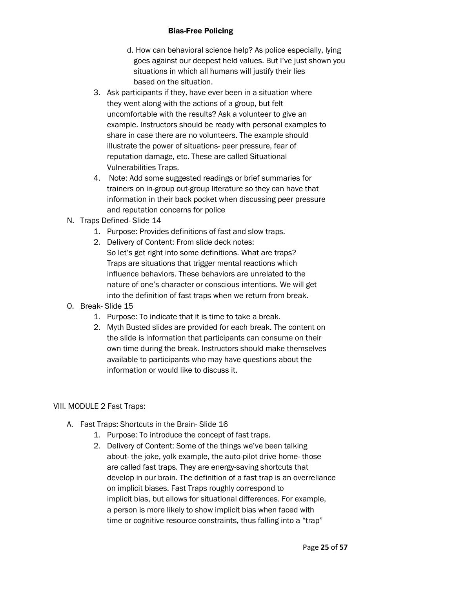- d. How can behavioral science help? As police especially, lying goes against our deepest held values. But I've just shown you situations in which all humans will justify their lies based on the situation.
- 3. Ask participants if they, have ever been in a situation where they went along with the actions of a group, but felt uncomfortable with the results? Ask a volunteer to give an example. Instructors should be ready with personal examples to share in case there are no volunteers. The example should illustrate the power of situations- peer pressure, fear of reputation damage, etc. These are called Situational Vulnerabilities Traps.
- 4. Note: Add some suggested readings or brief summaries for trainers on in-group out-group literature so they can have that information in their back pocket when discussing peer pressure and reputation concerns for police
- N. Traps Defined- Slide 14
	- 1. Purpose: Provides definitions of fast and slow traps.
	- 2. Delivery of Content: From slide deck notes: So let's get right into some definitions. What are traps? Traps are situations that trigger mental reactions which influence behaviors. These behaviors are unrelated to the nature of one's character or conscious intentions. We will get into the definition of fast traps when we return from break.
- O. Break- Slide 15
	- 1. Purpose: To indicate that it is time to take a break.
	- 2. Myth Busted slides are provided for each break. The content on the slide is information that participants can consume on their own time during the break. Instructors should make themselves available to participants who may have questions about the information or would like to discuss it.

# VIII. MODULE 2 Fast Traps:

- A. Fast Traps: Shortcuts in the Brain- Slide 16
	- 1. Purpose: To introduce the concept of fast traps.
	- 2. Delivery of Content: Some of the things we've been talking about- the joke, yolk example, the auto-pilot drive home- those are called fast traps. They are energy-saving shortcuts that develop in our brain. The definition of a fast trap is an overreliance on implicit biases. Fast Traps roughly correspond to implicit bias, but allows for situational differences. For example, a person is more likely to show implicit bias when faced with time or cognitive resource constraints, thus falling into a "trap"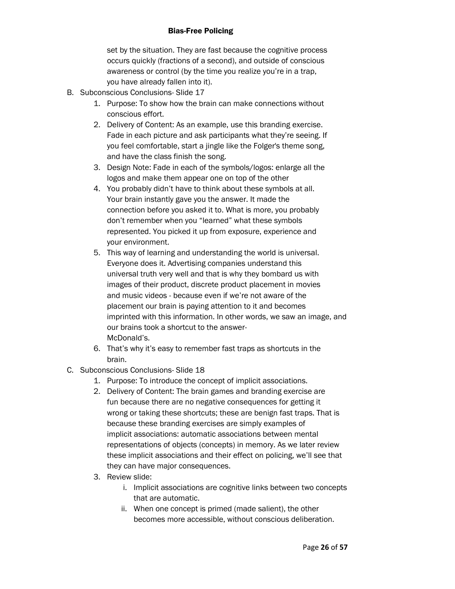set by the situation. They are fast because the cognitive process occurs quickly (fractions of a second), and outside of conscious awareness or control (by the time you realize you're in a trap, you have already fallen into it).

- B. Subconscious Conclusions- Slide 17
	- 1. Purpose: To show how the brain can make connections without conscious effort.
	- 2. Delivery of Content: As an example, use this branding exercise. Fade in each picture and ask participants what they're seeing. If you feel comfortable, start a jingle like the Folger's theme song, and have the class finish the song.
	- 3. Design Note: Fade in each of the symbols/logos: enlarge all the logos and make them appear one on top of the other
	- 4. You probably didn't have to think about these symbols at all. Your brain instantly gave you the answer. It made the connection before you asked it to. What is more, you probably don't remember when you "learned" what these symbols represented. You picked it up from exposure, experience and your environment.
	- 5. This way of learning and understanding the world is universal. Everyone does it. Advertising companies understand this universal truth very well and that is why they bombard us with images of their product, discrete product placement in movies and music videos - because even if we're not aware of the placement our brain is paying attention to it and becomes imprinted with this information. In other words, we saw an image, and our brains took a shortcut to the answer-McDonald's.
	- 6. That's why it's easy to remember fast traps as shortcuts in the brain.
- C. Subconscious Conclusions- Slide 18
	- 1. Purpose: To introduce the concept of implicit associations.
	- 2. Delivery of Content: The brain games and branding exercise are fun because there are no negative consequences for getting it wrong or taking these shortcuts; these are benign fast traps. That is because these branding exercises are simply examples of implicit associations: automatic associations between mental representations of objects (concepts) in memory. As we later review these implicit associations and their effect on policing, we'll see that they can have major consequences.
	- 3. Review slide:
		- i. Implicit associations are cognitive links between two concepts that are automatic.
		- ii. When one concept is primed (made salient), the other becomes more accessible, without conscious deliberation.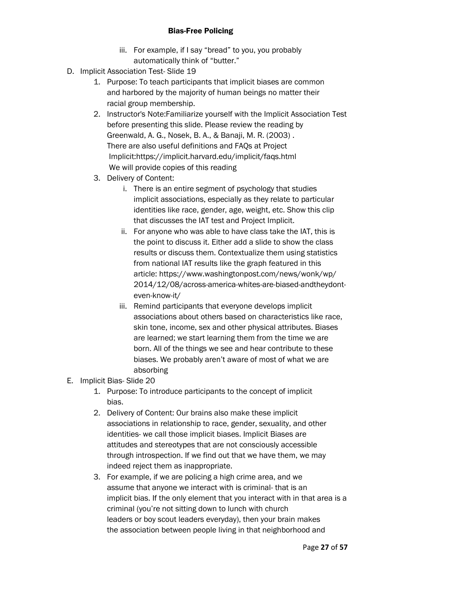- iii. For example, if I say "bread" to you, you probably automatically think of "butter."
- D. Implicit Association Test- Slide 19
	- 1. Purpose: To teach participants that implicit biases are common and harbored by the majority of human beings no matter their racial group membership.
	- 2. Instructor's Note:Familiarize yourself with the Implicit Association Test before presenting this slide. Please review the reading by Greenwald, A. G., Nosek, B. A., & Banaji, M. R. (2003) . There are also useful definitions and FAQs at Project Implicit:https://implicit.harvard.edu/implicit/faqs.html We will provide copies of this reading
	- 3. Delivery of Content:
		- i. There is an entire segment of psychology that studies implicit associations, especially as they relate to particular identities like race, gender, age, weight, etc. Show this clip that discusses the IAT test and Project Implicit.
		- ii. For anyone who was able to have class take the IAT, this is the point to discuss it. Either add a slide to show the class results or discuss them. Contextualize them using statistics from national IAT results like the graph featured in this article: https://www.washingtonpost.com/news/wonk/wp/ 2014/12/08/across-america-whites-are-biased-andtheydonteven-know-it/
		- iii. Remind participants that everyone develops implicit associations about others based on characteristics like race, skin tone, income, sex and other physical attributes. Biases are learned; we start learning them from the time we are born. All of the things we see and hear contribute to these biases. We probably aren't aware of most of what we are absorbing
- E. Implicit Bias- Slide 20
	- 1. Purpose: To introduce participants to the concept of implicit bias.
	- 2. Delivery of Content: Our brains also make these implicit associations in relationship to race, gender, sexuality, and other identities- we call those implicit biases. Implicit Biases are attitudes and stereotypes that are not consciously accessible through introspection. If we find out that we have them, we may indeed reject them as inappropriate.
	- 3. For example, if we are policing a high crime area, and we assume that anyone we interact with is criminal- that is an implicit bias. If the only element that you interact with in that area is a criminal (you're not sitting down to lunch with church leaders or boy scout leaders everyday), then your brain makes the association between people living in that neighborhood and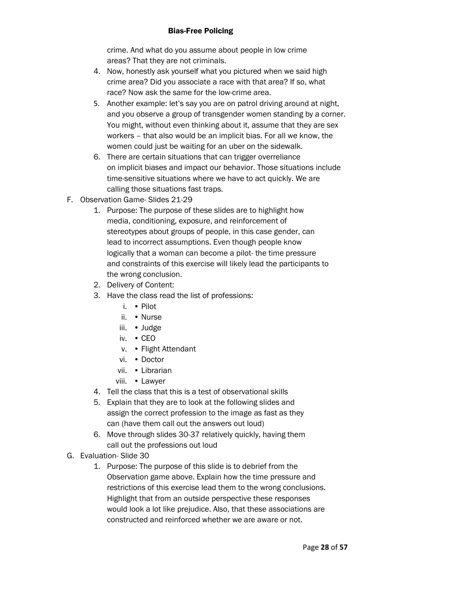crime. And what do you assume about people in low crime areas? That they are not criminals.

- 4. Now, honestly ask yourself what you pictured when we said high crime area? Did you associate a race with that area? If so, what race? Now ask the same for the low-crime area.
- 5. Another example: let's say you are on patrol driving around at night, and you observe a group of transgender women standing by a corner. You might, without even thinking about it, assume that they are sex workers – that also would be an implicit bias. For all we know, the women could just be waiting for an uber on the sidewalk.
- 6. There are certain situations that can trigger overreliance on implicit biases and impact our behavior. Those situations include time-sensitive situations where we have to act quickly. We are calling those situations fast traps.
- F. Observation Game- Slides 21-29
	- 1. Purpose: The purpose of these slides are to highlight how media, conditioning, exposure, and reinforcement of stereotypes about groups of people, in this case gender, can lead to incorrect assumptions. Even though people know logically that a woman can become a pilot- the time pressure and constraints of this exercise will likely lead the participants to the wrong conclusion.
	- 2. Delivery of Content:
	- 3. Have the class read the list of professions:
		- i. Pilot
		- ii. Nurse
		- iii. Judge
		- iv. CEO
		- v. Flight Attendant
		- vi. Doctor
		- vii. Librarian
		- viii. Lawyer
	- 4. Tell the class that this is a test of observational skills
	- 5. Explain that they are to look at the following slides and assign the correct profession to the image as fast as they can (have them call out the answers out loud)
	- 6. Move through slides 30-37 relatively quickly, having them call out the professions out loud
- G. Evaluation- Slide 30
	- 1. Purpose: The purpose of this slide is to debrief from the Observation game above. Explain how the time pressure and restrictions of this exercise lead them to the wrong conclusions. Highlight that from an outside perspective these responses would look a lot like prejudice. Also, that these associations are constructed and reinforced whether we are aware or not.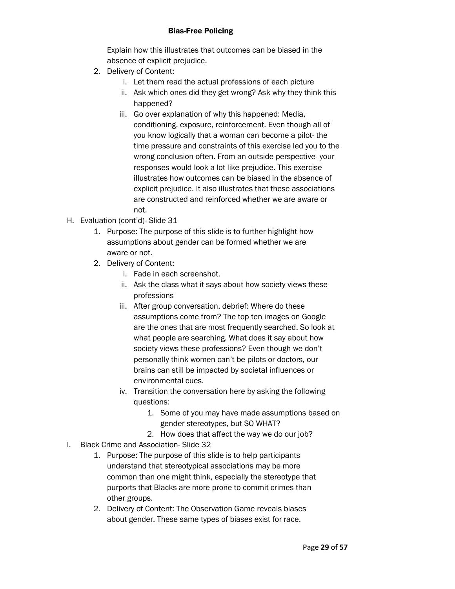Explain how this illustrates that outcomes can be biased in the absence of explicit prejudice.

- 2. Delivery of Content:
	- i. Let them read the actual professions of each picture
	- ii. Ask which ones did they get wrong? Ask why they think this happened?
	- iii. Go over explanation of why this happened: Media, conditioning, exposure, reinforcement. Even though all of you know logically that a woman can become a pilot- the time pressure and constraints of this exercise led you to the wrong conclusion often. From an outside perspective- your responses would look a lot like prejudice. This exercise illustrates how outcomes can be biased in the absence of explicit prejudice. It also illustrates that these associations are constructed and reinforced whether we are aware or not.
- H. Evaluation (cont'd)- Slide 31
	- 1. Purpose: The purpose of this slide is to further highlight how assumptions about gender can be formed whether we are aware or not.
	- 2. Delivery of Content:
		- i. Fade in each screenshot.
		- ii. Ask the class what it says about how society views these professions
		- iii. After group conversation, debrief: Where do these assumptions come from? The top ten images on Google are the ones that are most frequently searched. So look at what people are searching. What does it say about how society views these professions? Even though we don't personally think women can't be pilots or doctors, our brains can still be impacted by societal influences or environmental cues.
		- iv. Transition the conversation here by asking the following questions:
			- 1. Some of you may have made assumptions based on gender stereotypes, but SO WHAT?
			- 2. How does that affect the way we do our job?
- I. Black Crime and Association- Slide 32
	- 1. Purpose: The purpose of this slide is to help participants understand that stereotypical associations may be more common than one might think, especially the stereotype that purports that Blacks are more prone to commit crimes than other groups.
	- 2. Delivery of Content: The Observation Game reveals biases about gender. These same types of biases exist for race.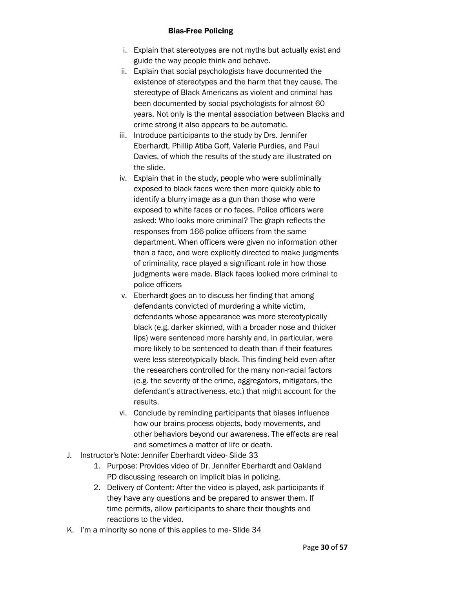- i. Explain that stereotypes are not myths but actually exist and guide the way people think and behave.
- ii. Explain that social psychologists have documented the existence of stereotypes and the harm that they cause. The stereotype of Black Americans as violent and criminal has been documented by social psychologists for almost 60 years. Not only is the mental association between Blacks and crime strong it also appears to be automatic.
- iii. Introduce participants to the study by Drs. Jennifer Eberhardt, Phillip Atiba Goff, Valerie Purdies, and Paul Davies, of which the results of the study are illustrated on the slide.
- iv. Explain that in the study, people who were subliminally exposed to black faces were then more quickly able to identify a blurry image as a gun than those who were exposed to white faces or no faces. Police officers were asked: Who looks more criminal? The graph reflects the responses from 166 police officers from the same department. When officers were given no information other than a face, and were explicitly directed to make judgments of criminality, race played a significant role in how those judgments were made. Black faces looked more criminal to police officers
- v. Eberhardt goes on to discuss her finding that among defendants convicted of murdering a white victim, defendants whose appearance was more stereotypically black (e.g. darker skinned, with a broader nose and thicker lips) were sentenced more harshly and, in particular, were more likely to be sentenced to death than if their features were less stereotypically black. This finding held even after the researchers controlled for the many non-racial factors (e.g. the severity of the crime, aggregators, mitigators, the defendant's attractiveness, etc.) that might account for the results.
- vi. Conclude by reminding participants that biases influence how our brains process objects, body movements, and other behaviors beyond our awareness. The effects are real and sometimes a matter of life or death.
- J. Instructor's Note: Jennifer Eberhardt video- Slide 33
	- 1. Purpose: Provides video of Dr. Jennifer Eberhardt and Oakland PD discussing research on implicit bias in policing.
	- 2. Delivery of Content: After the video is played, ask participants if they have any questions and be prepared to answer them. If time permits, allow participants to share their thoughts and reactions to the video.
- K. I'm a minority so none of this applies to me- Slide 34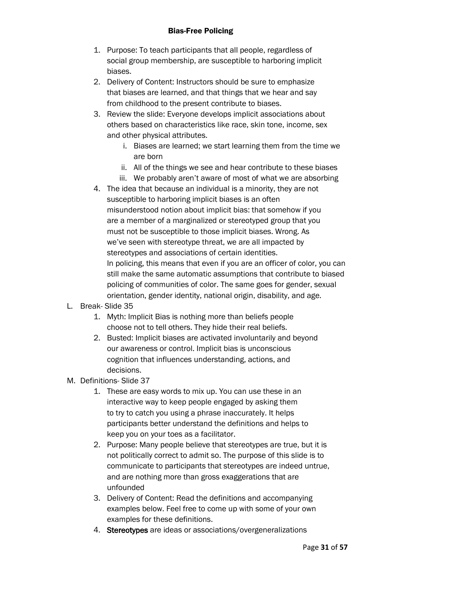- 1. Purpose: To teach participants that all people, regardless of social group membership, are susceptible to harboring implicit biases.
- 2. Delivery of Content: Instructors should be sure to emphasize that biases are learned, and that things that we hear and say from childhood to the present contribute to biases.
- 3. Review the slide: Everyone develops implicit associations about others based on characteristics like race, skin tone, income, sex and other physical attributes.
	- i. Biases are learned; we start learning them from the time we are born
	- ii. All of the things we see and hear contribute to these biases
	- iii. We probably aren't aware of most of what we are absorbing
- 4. The idea that because an individual is a minority, they are not susceptible to harboring implicit biases is an often misunderstood notion about implicit bias: that somehow if you are a member of a marginalized or stereotyped group that you must not be susceptible to those implicit biases. Wrong. As we've seen with stereotype threat, we are all impacted by stereotypes and associations of certain identities. In policing, this means that even if you are an officer of color, you can still make the same automatic assumptions that contribute to biased policing of communities of color. The same goes for gender, sexual orientation, gender identity, national origin, disability, and age.
- L. Break- Slide 35
	- 1. Myth: Implicit Bias is nothing more than beliefs people choose not to tell others. They hide their real beliefs.
	- 2. Busted: Implicit biases are activated involuntarily and beyond our awareness or control. Implicit bias is unconscious cognition that influences understanding, actions, and decisions.
- M. Definitions- Slide 37
	- 1. These are easy words to mix up. You can use these in an interactive way to keep people engaged by asking them to try to catch you using a phrase inaccurately. It helps participants better understand the definitions and helps to keep you on your toes as a facilitator.
	- 2. Purpose: Many people believe that stereotypes are true, but it is not politically correct to admit so. The purpose of this slide is to communicate to participants that stereotypes are indeed untrue, and are nothing more than gross exaggerations that are unfounded
	- 3. Delivery of Content: Read the definitions and accompanying examples below. Feel free to come up with some of your own examples for these definitions.
	- 4. Stereotypes are ideas or associations/overgeneralizations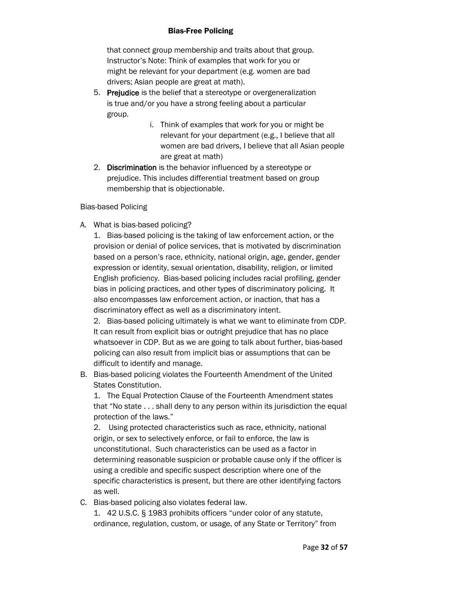that connect group membership and traits about that group. Instructor's Note: Think of examples that work for you or might be relevant for your department (e.g. women are bad drivers; Asian people are great at math).

- 5. Prejudice is the belief that a stereotype or overgeneralization is true and/or you have a strong feeling about a particular group.
	- i. Think of examples that work for you or might be relevant for your department (e.g., I believe that all women are bad drivers, I believe that all Asian people are great at math)
- 2. Discrimination is the behavior influenced by a stereotype or prejudice. This includes differential treatment based on group membership that is objectionable.

Bias-based Policing

A. What is bias-based policing?

1. Bias-based policing is the taking of law enforcement action, or the provision or denial of police services, that is motivated by discrimination based on a person's race, ethnicity, national origin, age, gender, gender expression or identity, sexual orientation, disability, religion, or limited English proficiency. Bias-based policing includes racial profiling, gender bias in policing practices, and other types of discriminatory policing. It also encompasses law enforcement action, or inaction, that has a discriminatory effect as well as a discriminatory intent.

2. Bias-based policing ultimately is what we want to eliminate from CDP. It can result from explicit bias or outright prejudice that has no place whatsoever in CDP. But as we are going to talk about further, bias-based policing can also result from implicit bias or assumptions that can be difficult to identify and manage.

B. Bias-based policing violates the Fourteenth Amendment of the United States Constitution.

1. The Equal Protection Clause of the Fourteenth Amendment states that "No state . . . shall deny to any person within its jurisdiction the equal protection of the laws."

2. Using protected characteristics such as race, ethnicity, national origin, or sex to selectively enforce, or fail to enforce, the law is unconstitutional. Such characteristics can be used as a factor in determining reasonable suspicion or probable cause only if the officer is using a credible and specific suspect description where one of the specific characteristics is present, but there are other identifying factors as well.

C. Bias-based policing also violates federal law.

1. 42 U.S.C. § 1983 prohibits officers "under color of any statute, ordinance, regulation, custom, or usage, of any State or Territory" from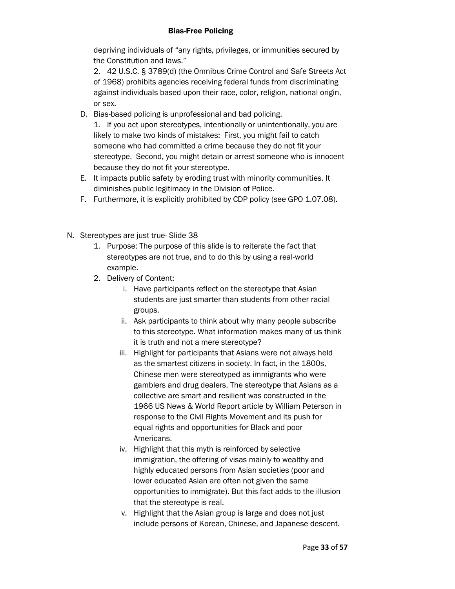depriving individuals of "any rights, privileges, or immunities secured by the Constitution and laws."

2. 42 U.S.C. § 3789(d) (the Omnibus Crime Control and Safe Streets Act of 1968) prohibits agencies receiving federal funds from discriminating against individuals based upon their race, color, religion, national origin, or sex.

D. Bias-based policing is unprofessional and bad policing.

1. If you act upon stereotypes, intentionally or unintentionally, you are likely to make two kinds of mistakes: First, you might fail to catch someone who had committed a crime because they do not fit your stereotype. Second, you might detain or arrest someone who is innocent because they do not fit your stereotype.

- E. It impacts public safety by eroding trust with minority communities. It diminishes public legitimacy in the Division of Police.
- F. Furthermore, it is explicitly prohibited by CDP policy (see GPO 1.07.08).
- N. Stereotypes are just true- Slide 38
	- 1. Purpose: The purpose of this slide is to reiterate the fact that stereotypes are not true, and to do this by using a real-world example.
	- 2. Delivery of Content:
		- i. Have participants reflect on the stereotype that Asian students are just smarter than students from other racial groups.
		- ii. Ask participants to think about why many people subscribe to this stereotype. What information makes many of us think it is truth and not a mere stereotype?
		- iii. Highlight for participants that Asians were not always held as the smartest citizens in society. In fact, in the 1800s, Chinese men were stereotyped as immigrants who were gamblers and drug dealers. The stereotype that Asians as a collective are smart and resilient was constructed in the 1966 US News & World Report article by William Peterson in response to the Civil Rights Movement and its push for equal rights and opportunities for Black and poor Americans.
		- iv. Highlight that this myth is reinforced by selective immigration, the offering of visas mainly to wealthy and highly educated persons from Asian societies (poor and lower educated Asian are often not given the same opportunities to immigrate). But this fact adds to the illusion that the stereotype is real.
		- v. Highlight that the Asian group is large and does not just include persons of Korean, Chinese, and Japanese descent.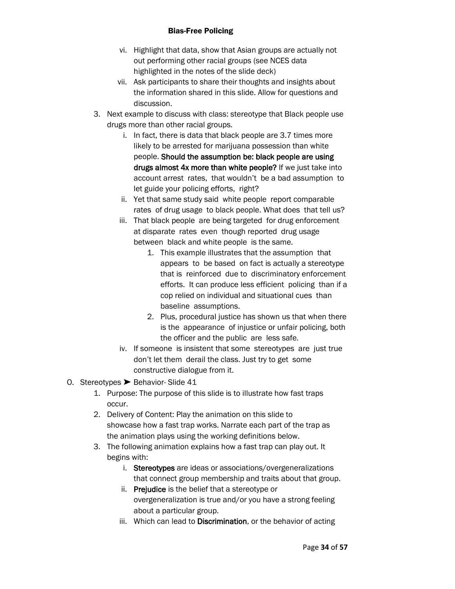- vi. Highlight that data, show that Asian groups are actually not out performing other racial groups (see NCES data highlighted in the notes of the slide deck)
- vii. Ask participants to share their thoughts and insights about the information shared in this slide. Allow for questions and discussion.
- 3. Next example to discuss with class: stereotype that Black people use drugs more than other racial groups.
	- i. In fact, there is data that black people are 3.7 times more likely to be arrested for marijuana possession than white people. Should the assumption be: black people are using drugs almost 4x more than white people? If we just take into account arrest rates, that wouldn't be a bad assumption to let guide your policing efforts, right?
	- ii. Yet that same study said white people report comparable rates of drug usage to black people. What does that tell us?
	- iii. That black people are being targeted for drug enforcement at disparate rates even though reported drug usage between black and white people is the same.
		- 1. This example illustrates that the assumption that appears to be based on fact is actually a stereotype that is reinforced due to discriminatory enforcement efforts. It can produce less efficient policing than if a cop relied on individual and situational cues than baseline assumptions.
		- 2. Plus, procedural justice has shown us that when there is the appearance of injustice or unfair policing, both the officer and the public are less safe.
	- iv. If someone is insistent that some stereotypes are just true don't let them derail the class. Just try to get some constructive dialogue from it.
- O. Stereotypes ➤ Behavior- Slide 41
	- 1. Purpose: The purpose of this slide is to illustrate how fast traps occur.
	- 2. Delivery of Content: Play the animation on this slide to showcase how a fast trap works. Narrate each part of the trap as the animation plays using the working definitions below.
	- 3. The following animation explains how a fast trap can play out. It begins with:
		- i. Stereotypes are ideas or associations/overgeneralizations that connect group membership and traits about that group.
		- ii. Prejudice is the belief that a stereotype or overgeneralization is true and/or you have a strong feeling about a particular group.
		- iii. Which can lead to Discrimination, or the behavior of acting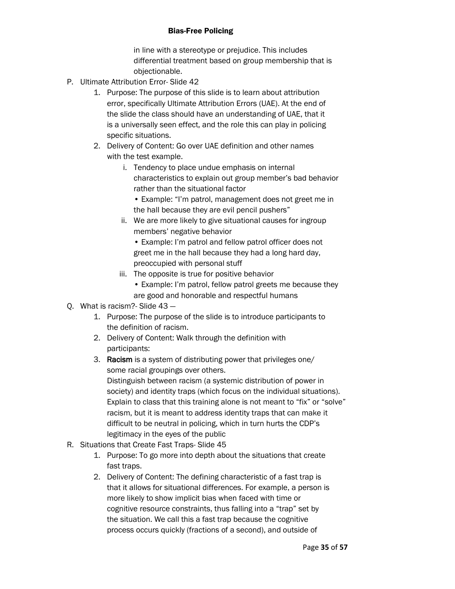in line with a stereotype or prejudice. This includes differential treatment based on group membership that is objectionable.

- P. Ultimate Attribution Error- Slide 42
	- 1. Purpose: The purpose of this slide is to learn about attribution error, specifically Ultimate Attribution Errors (UAE). At the end of the slide the class should have an understanding of UAE, that it is a universally seen effect, and the role this can play in policing specific situations.
	- 2. Delivery of Content: Go over UAE definition and other names with the test example.
		- i. Tendency to place undue emphasis on internal characteristics to explain out group member's bad behavior rather than the situational factor
			- Example: "I'm patrol, management does not greet me in the hall because they are evil pencil pushers"
		- ii. We are more likely to give situational causes for ingroup members' negative behavior
			- Example: I'm patrol and fellow patrol officer does not greet me in the hall because they had a long hard day, preoccupied with personal stuff
		- iii. The opposite is true for positive behavior
			- Example: I'm patrol, fellow patrol greets me because they are good and honorable and respectful humans
- Q. What is racism?- Slide 43
	- 1. Purpose: The purpose of the slide is to introduce participants to the definition of racism.
	- 2. Delivery of Content: Walk through the definition with participants:
	- 3. Racism is a system of distributing power that privileges one/ some racial groupings over others. Distinguish between racism (a systemic distribution of power in society) and identity traps (which focus on the individual situations). Explain to class that this training alone is not meant to "fix" or "solve" racism, but it is meant to address identity traps that can make it difficult to be neutral in policing, which in turn hurts the CDP's legitimacy in the eyes of the public
- R. Situations that Create Fast Traps- Slide 45
	- 1. Purpose: To go more into depth about the situations that create fast traps.
	- 2. Delivery of Content: The defining characteristic of a fast trap is that it allows for situational differences. For example, a person is more likely to show implicit bias when faced with time or cognitive resource constraints, thus falling into a "trap" set by the situation. We call this a fast trap because the cognitive process occurs quickly (fractions of a second), and outside of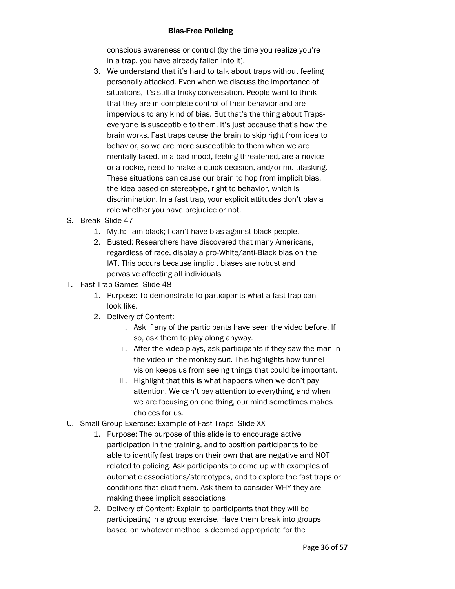conscious awareness or control (by the time you realize you're in a trap, you have already fallen into it).

- 3. We understand that it's hard to talk about traps without feeling personally attacked. Even when we discuss the importance of situations, it's still a tricky conversation. People want to think that they are in complete control of their behavior and are impervious to any kind of bias. But that's the thing about Trapseveryone is susceptible to them, it's just because that's how the brain works. Fast traps cause the brain to skip right from idea to behavior, so we are more susceptible to them when we are mentally taxed, in a bad mood, feeling threatened, are a novice or a rookie, need to make a quick decision, and/or multitasking. These situations can cause our brain to hop from implicit bias, the idea based on stereotype, right to behavior, which is discrimination. In a fast trap, your explicit attitudes don't play a role whether you have prejudice or not.
- S. Break- Slide 47
	- 1. Myth: I am black; I can't have bias against black people.
	- 2. Busted: Researchers have discovered that many Americans, regardless of race, display a pro-White/anti-Black bias on the IAT. This occurs because implicit biases are robust and pervasive affecting all individuals
- T. Fast Trap Games- Slide 48
	- 1. Purpose: To demonstrate to participants what a fast trap can look like.
	- 2. Delivery of Content:
		- i. Ask if any of the participants have seen the video before. If so, ask them to play along anyway.
		- ii. After the video plays, ask participants if they saw the man in the video in the monkey suit. This highlights how tunnel vision keeps us from seeing things that could be important.
		- iii. Highlight that this is what happens when we don't pay attention. We can't pay attention to everything, and when we are focusing on one thing, our mind sometimes makes choices for us.
- U. Small Group Exercise: Example of Fast Traps- Slide XX
	- 1. Purpose: The purpose of this slide is to encourage active participation in the training, and to position participants to be able to identify fast traps on their own that are negative and NOT related to policing. Ask participants to come up with examples of automatic associations/stereotypes, and to explore the fast traps or conditions that elicit them. Ask them to consider WHY they are making these implicit associations
	- 2. Delivery of Content: Explain to participants that they will be participating in a group exercise. Have them break into groups based on whatever method is deemed appropriate for the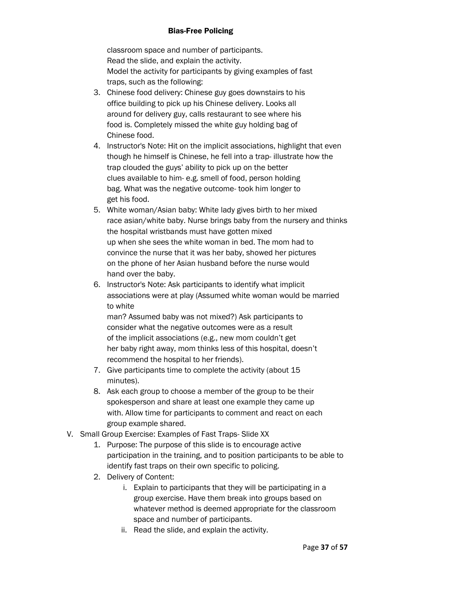classroom space and number of participants. Read the slide, and explain the activity. Model the activity for participants by giving examples of fast traps, such as the following:

- 3. Chinese food delivery: Chinese guy goes downstairs to his office building to pick up his Chinese delivery. Looks all around for delivery guy, calls restaurant to see where his food is. Completely missed the white guy holding bag of Chinese food.
- 4. Instructor's Note: Hit on the implicit associations, highlight that even though he himself is Chinese, he fell into a trap- illustrate how the trap clouded the guys' ability to pick up on the better clues available to him- e.g. smell of food, person holding bag. What was the negative outcome- took him longer to get his food.
- 5. White woman/Asian baby: White lady gives birth to her mixed race asian/white baby. Nurse brings baby from the nursery and thinks the hospital wristbands must have gotten mixed up when she sees the white woman in bed. The mom had to convince the nurse that it was her baby, showed her pictures on the phone of her Asian husband before the nurse would hand over the baby.
- 6. Instructor's Note: Ask participants to identify what implicit associations were at play (Assumed white woman would be married to white

man? Assumed baby was not mixed?) Ask participants to consider what the negative outcomes were as a result of the implicit associations (e.g., new mom couldn't get her baby right away, mom thinks less of this hospital, doesn't recommend the hospital to her friends).

- 7. Give participants time to complete the activity (about 15 minutes).
- 8. Ask each group to choose a member of the group to be their spokesperson and share at least one example they came up with. Allow time for participants to comment and react on each group example shared.
- V. Small Group Exercise: Examples of Fast Traps- Slide XX
	- 1. Purpose: The purpose of this slide is to encourage active participation in the training, and to position participants to be able to identify fast traps on their own specific to policing.
	- 2. Delivery of Content:
		- i. Explain to participants that they will be participating in a group exercise. Have them break into groups based on whatever method is deemed appropriate for the classroom space and number of participants.
		- ii. Read the slide, and explain the activity.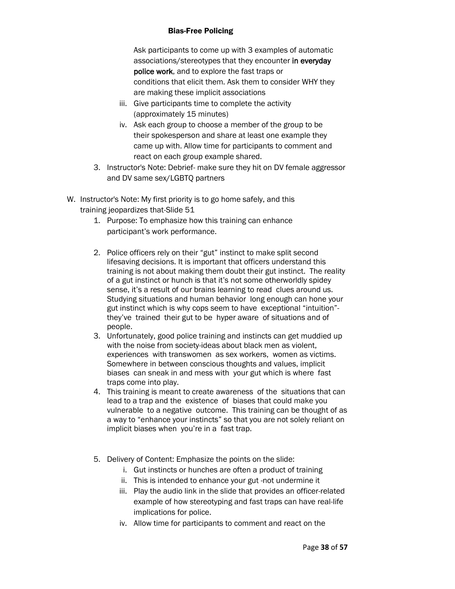Ask participants to come up with 3 examples of automatic associations/stereotypes that they encounter in everyday police work, and to explore the fast traps or conditions that elicit them. Ask them to consider WHY they are making these implicit associations

- iii. Give participants time to complete the activity (approximately 15 minutes)
- iv. Ask each group to choose a member of the group to be their spokesperson and share at least one example they came up with. Allow time for participants to comment and react on each group example shared.
- 3. Instructor's Note: Debrief- make sure they hit on DV female aggressor and DV same sex/LGBTQ partners
- W. Instructor's Note: My first priority is to go home safely, and this training jeopardizes that-Slide 51
	- 1. Purpose: To emphasize how this training can enhance participant's work performance.
	- 2. Police officers rely on their "gut" instinct to make split second lifesaving decisions. It is important that officers understand this training is not about making them doubt their gut instinct. The reality of a gut instinct or hunch is that it's not some otherworldly spidey sense, it's a result of our brains learning to read clues around us. Studying situations and human behavior long enough can hone your gut instinct which is why cops seem to have exceptional "intuition" they've trained their gut to be hyper aware of situations and of people.
	- 3. Unfortunately, good police training and instincts can get muddied up with the noise from society-ideas about black men as violent. experiences with transwomen as sex workers, women as victims. Somewhere in between conscious thoughts and values, implicit biases can sneak in and mess with your gut which is where fast traps come into play.
	- 4. This training is meant to create awareness of the situations that can lead to a trap and the existence of biases that could make you vulnerable to a negative outcome. This training can be thought of as a way to "enhance your instincts" so that you are not solely reliant on implicit biases when you're in a fast trap.
	- 5. Delivery of Content: Emphasize the points on the slide:
		- i. Gut instincts or hunches are often a product of training
		- ii. This is intended to enhance your gut -not undermine it
		- iii. Play the audio link in the slide that provides an officer-related example of how stereotyping and fast traps can have real-life implications for police.
		- iv. Allow time for participants to comment and react on the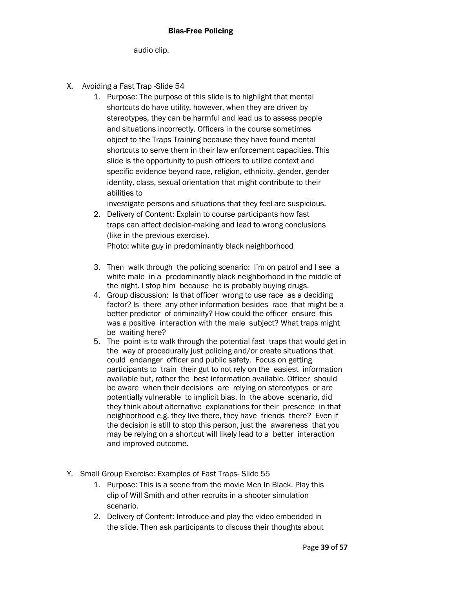audio clip.

- X. Avoiding a Fast Trap -Slide 54
	- 1. Purpose: The purpose of this slide is to highlight that mental shortcuts do have utility, however, when they are driven by stereotypes, they can be harmful and lead us to assess people and situations incorrectly. Officers in the course sometimes object to the Traps Training because they have found mental shortcuts to serve them in their law enforcement capacities. This slide is the opportunity to push officers to utilize context and specific evidence beyond race, religion, ethnicity, gender, gender identity, class, sexual orientation that might contribute to their abilities to

investigate persons and situations that they feel are suspicious.

- 2. Delivery of Content: Explain to course participants how fast traps can affect decision-making and lead to wrong conclusions (like in the previous exercise). Photo: white guy in predominantly black neighborhood
- 3. Then walk through the policing scenario: I'm on patrol and I see a white male in a predominantly black neighborhood in the middle of the night. I stop him because he is probably buying drugs.
- 4. Group discussion: Is that officer wrong to use race as a deciding factor? Is there any other information besides race that might be a better predictor of criminality? How could the officer ensure this was a positive interaction with the male subject? What traps might be waiting here?
- 5. The point is to walk through the potential fast traps that would get in the way of procedurally just policing and/or create situations that could endanger officer and public safety. Focus on getting participants to train their gut to not rely on the easiest information available but, rather the best information available. Officer should be aware when their decisions are relying on stereotypes or are potentially vulnerable to implicit bias. In the above scenario, did they think about alternative explanations for their presence in that neighborhood e.g. they live there, they have friends there? Even if the decision is still to stop this person, just the awareness that you may be relying on a shortcut will likely lead to a better interaction and improved outcome.
- Y. Small Group Exercise: Examples of Fast Traps- Slide 55
	- 1. Purpose: This is a scene from the movie Men In Black. Play this clip of Will Smith and other recruits in a shooter simulation scenario.
	- 2. Delivery of Content: Introduce and play the video embedded in the slide. Then ask participants to discuss their thoughts about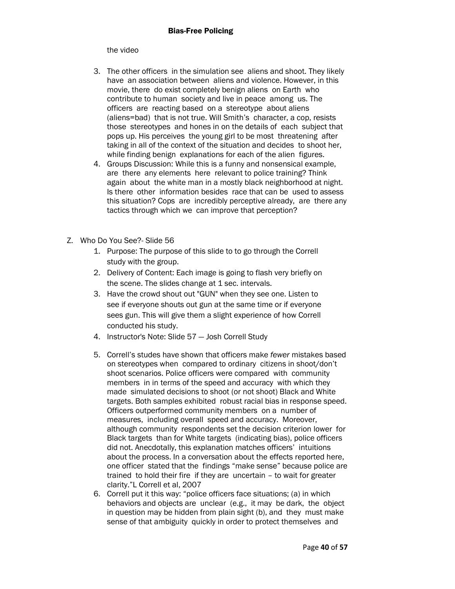#### the video

- 3. The other officers in the simulation see aliens and shoot. They likely have an association between aliens and violence. However, in this movie, there do exist completely benign aliens on Earth who contribute to human society and live in peace among us. The officers are reacting based on a stereotype about aliens (aliens=bad) that is not true. Will Smith's character, a cop, resists those stereotypes and hones in on the details of each subject that pops up. His perceives the young girl to be most threatening after taking in all of the context of the situation and decides to shoot her, while finding benign explanations for each of the alien figures.
- 4. Groups Discussion: While this is a funny and nonsensical example, are there any elements here relevant to police training? Think again about the white man in a mostly black neighborhood at night. Is there other information besides race that can be used to assess this situation? Cops are incredibly perceptive already, are there any tactics through which we can improve that perception?
- Z. Who Do You See?- Slide 56
	- 1. Purpose: The purpose of this slide to to go through the Correll study with the group.
	- 2. Delivery of Content: Each image is going to flash very briefly on the scene. The slides change at 1 sec. intervals.
	- 3. Have the crowd shout out "GUN" when they see one. Listen to see if everyone shouts out gun at the same time or if everyone sees gun. This will give them a slight experience of how Correll conducted his study.
	- 4. Instructor's Note: Slide 57 Josh Correll Study
	- 5. Correll's studes have shown that officers make *fewer* mistakes based on stereotypes when compared to ordinary citizens in shoot/don't shoot scenarios. Police officers were compared with community members in in terms of the speed and accuracy with which they made simulated decisions to shoot (or not shoot) Black and White targets. Both samples exhibited robust racial bias in response speed. Officers outperformed community members on a number of measures, including overall speed and accuracy. Moreover, although community respondents set the decision criterion lower for Black targets than for White targets (indicating bias), police officers did not. Anecdotally, this explanation matches officers' intuitions about the process. In a conversation about the effects reported here, one officer stated that the findings "make sense" because police are trained to hold their fire if they are uncertain – to wait for greater clarity."L Correll et al, 2007
	- 6. Correll put it this way: "police officers face situations; (a) in which behaviors and objects are unclear (e.g., it may be dark, the object in question may be hidden from plain sight (b), and they must make sense of that ambiguity quickly in order to protect themselves and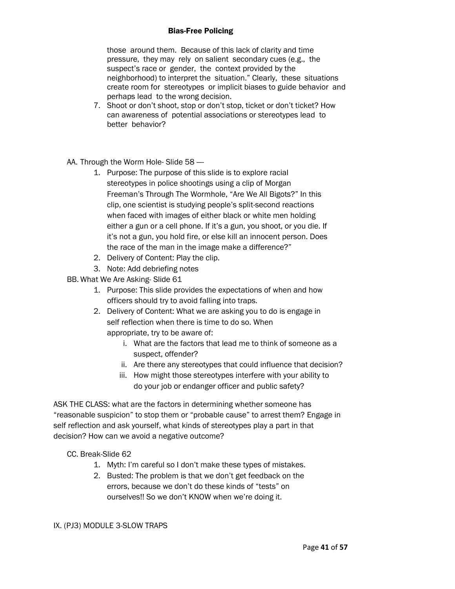those around them. Because of this lack of clarity and time pressure, they may rely on salient secondary cues (e.g., the suspect's race or gender, the context provided by the neighborhood) to interpret the situation." Clearly, these situations create room for stereotypes or implicit biases to guide behavior and perhaps lead to the wrong decision.

- 7. Shoot or don't shoot, stop or don't stop, ticket or don't ticket? How can awareness of potential associations or stereotypes lead to better behavior?
- AA. Through the Worm Hole-Slide 58 -
	- 1. Purpose: The purpose of this slide is to explore racial stereotypes in police shootings using a clip of Morgan Freeman's Through The Wormhole, "Are We All Bigots?" In this clip, one scientist is studying people's split-second reactions when faced with images of either black or white men holding either a gun or a cell phone. If it's a gun, you shoot, or you die. If it's not a gun, you hold fire, or else kill an innocent person. Does the race of the man in the image make a difference?"
	- 2. Delivery of Content: Play the clip.
	- 3. Note: Add debriefing notes

BB. What We Are Asking- Slide 61

- 1. Purpose: This slide provides the expectations of when and how officers should try to avoid falling into traps.
- 2. Delivery of Content: What we are asking you to do is engage in self reflection when there is time to do so. When appropriate, try to be aware of:
	- i. What are the factors that lead me to think of someone as a suspect, offender?
	- ii. Are there any stereotypes that could influence that decision?
	- iii. How might those stereotypes interfere with your ability to do your job or endanger officer and public safety?

ASK THE CLASS: what are the factors in determining whether someone has "reasonable suspicion" to stop them or "probable cause" to arrest them? Engage in self reflection and ask yourself, what kinds of stereotypes play a part in that decision? How can we avoid a negative outcome?

CC. Break-Slide 62

- 1. Myth: I'm careful so I don't make these types of mistakes.
- 2. Busted: The problem is that we don't get feedback on the errors, because we don't do these kinds of "tests" on ourselves!! So we don't KNOW when we're doing it.

#### IX. (PJ3) MODULE 3-SLOW TRAPS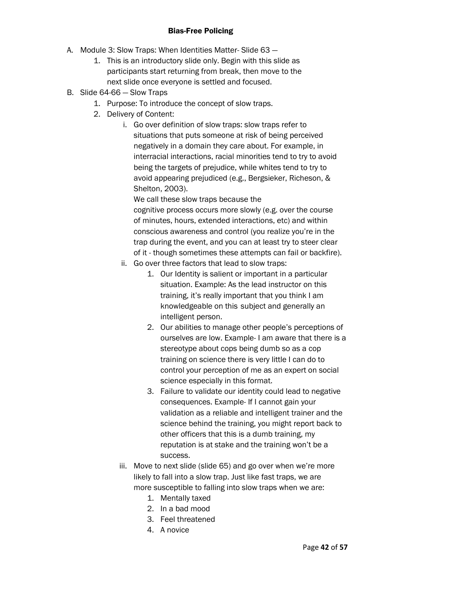- A. Module 3: Slow Traps: When Identities Matter- Slide 63
	- 1. This is an introductory slide only. Begin with this slide as participants start returning from break, then move to the next slide once everyone is settled and focused.
- B. Slide 64-66 Slow Traps
	- 1. Purpose: To introduce the concept of slow traps.
	- 2. Delivery of Content:
		- i. Go over definition of slow traps: slow traps refer to situations that puts someone at risk of being perceived negatively in a domain they care about. For example, in interracial interactions, racial minorities tend to try to avoid being the targets of prejudice, while whites tend to try to avoid appearing prejudiced (e.g., Bergsieker, Richeson, & Shelton, 2003).

We call these slow traps because the cognitive process occurs more slowly (e.g. over the course of minutes, hours, extended interactions, etc) and within conscious awareness and control (you realize you're in the trap during the event, and you can at least try to steer clear of it - though sometimes these attempts can fail or backfire).

- ii. Go over three factors that lead to slow traps:
	- 1. Our Identity is salient or important in a particular situation. Example: As the lead instructor on this training, it's really important that you think I am knowledgeable on this subject and generally an intelligent person.
	- 2. Our abilities to manage other people's perceptions of ourselves are low. Example- I am aware that there is a stereotype about cops being dumb so as a cop training on science there is very little I can do to control your perception of me as an expert on social science especially in this format.
	- 3. Failure to validate our identity could lead to negative consequences. Example- If I cannot gain your validation as a reliable and intelligent trainer and the science behind the training, you might report back to other officers that this is a dumb training, my reputation is at stake and the training won't be a success.
- iii. Move to next slide (slide 65) and go over when we're more likely to fall into a slow trap. Just like fast traps, we are more susceptible to falling into slow traps when we are:
	- 1. Mentally taxed
	- 2. In a bad mood
	- 3. Feel threatened
	- 4. A novice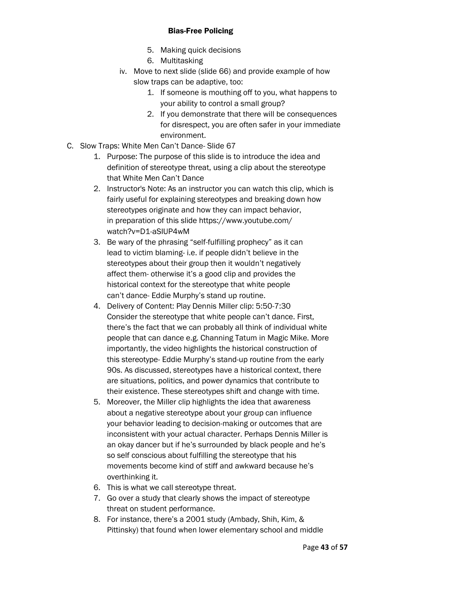- 5. Making quick decisions
- 6. Multitasking
- iv. Move to next slide (slide 66) and provide example of how slow traps can be adaptive, too:
	- 1. If someone is mouthing off to you, what happens to your ability to control a small group?
	- 2. If you demonstrate that there will be consequences for disrespect, you are often safer in your immediate environment.
- C. Slow Traps: White Men Can't Dance- Slide 67
	- 1. Purpose: The purpose of this slide is to introduce the idea and definition of stereotype threat, using a clip about the stereotype that White Men Can't Dance
	- 2. Instructor's Note: As an instructor you can watch this clip, which is fairly useful for explaining stereotypes and breaking down how stereotypes originate and how they can impact behavior, in preparation of this slide https://www.youtube.com/ watch?v=D1-aSIUP4wM
	- 3. Be wary of the phrasing "self-fulfilling prophecy" as it can lead to victim blaming- i.e. if people didn't believe in the stereotypes about their group then it wouldn't negatively affect them- otherwise it's a good clip and provides the historical context for the stereotype that white people can't dance- Eddie Murphy's stand up routine.
	- 4. Delivery of Content: Play Dennis Miller clip: 5:50-7:30 Consider the stereotype that white people can't dance. First, there's the fact that we can probably all think of individual white people that can dance e.g. Channing Tatum in Magic Mike. More importantly, the video highlights the historical construction of this stereotype- Eddie Murphy's stand-up routine from the early 90s. As discussed, stereotypes have a historical context, there are situations, politics, and power dynamics that contribute to their existence. These stereotypes shift and change with time.
	- 5. Moreover, the Miller clip highlights the idea that awareness about a negative stereotype about your group can influence your behavior leading to decision-making or outcomes that are inconsistent with your actual character. Perhaps Dennis Miller is an okay dancer but if he's surrounded by black people and he's so self conscious about fulfilling the stereotype that his movements become kind of stiff and awkward because he's overthinking it.
	- 6. This is what we call stereotype threat.
	- 7. Go over a study that clearly shows the impact of stereotype threat on student performance.
	- 8. For instance, there's a 2001 study (Ambady, Shih, Kim, & Pittinsky) that found when lower elementary school and middle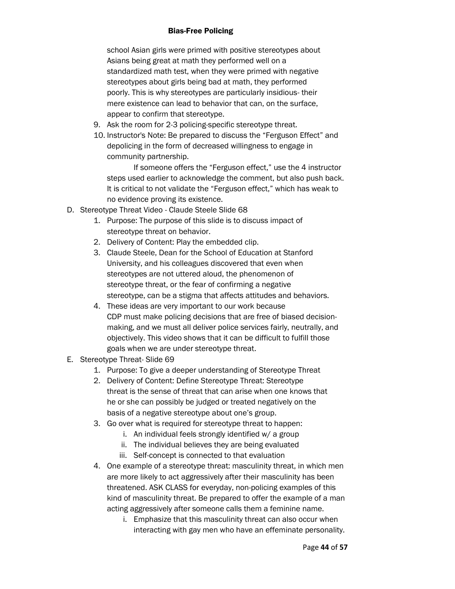school Asian girls were primed with positive stereotypes about Asians being great at math they performed well on a standardized math test, when they were primed with negative stereotypes about girls being bad at math, they performed poorly. This is why stereotypes are particularly insidious- their mere existence can lead to behavior that can, on the surface, appear to confirm that stereotype.

- 9. Ask the room for 2-3 policing-specific stereotype threat.
- 10. Instructor's Note: Be prepared to discuss the "Ferguson Effect" and depolicing in the form of decreased willingness to engage in community partnership.

If someone offers the "Ferguson effect," use the 4 instructor steps used earlier to acknowledge the comment, but also push back. It is critical to not validate the "Ferguson effect," which has weak to no evidence proving its existence.

- D. Stereotype Threat Video Claude Steele Slide 68
	- 1. Purpose: The purpose of this slide is to discuss impact of stereotype threat on behavior.
	- 2. Delivery of Content: Play the embedded clip.
	- 3. Claude Steele, Dean for the School of Education at Stanford University, and his colleagues discovered that even when stereotypes are not uttered aloud, the phenomenon of stereotype threat, or the fear of confirming a negative stereotype, can be a stigma that affects attitudes and behaviors.
	- 4. These ideas are very important to our work because CDP must make policing decisions that are free of biased decisionmaking, and we must all deliver police services fairly, neutrally, and objectively. This video shows that it can be difficult to fulfill those goals when we are under stereotype threat.
- E. Stereotype Threat- Slide 69
	- 1. Purpose: To give a deeper understanding of Stereotype Threat
	- 2. Delivery of Content: Define Stereotype Threat: Stereotype threat is the sense of threat that can arise when one knows that he or she can possibly be judged or treated negatively on the basis of a negative stereotype about one's group.
	- 3. Go over what is required for stereotype threat to happen:
		- i. An individual feels strongly identified w/ a group
		- ii. The individual believes they are being evaluated
		- iii. Self-concept is connected to that evaluation
	- 4. One example of a stereotype threat: masculinity threat, in which men are more likely to act aggressively after their masculinity has been threatened. ASK CLASS for everyday, non-policing examples of this kind of masculinity threat. Be prepared to offer the example of a man acting aggressively after someone calls them a feminine name.
		- i. Emphasize that this masculinity threat can also occur when interacting with gay men who have an effeminate personality.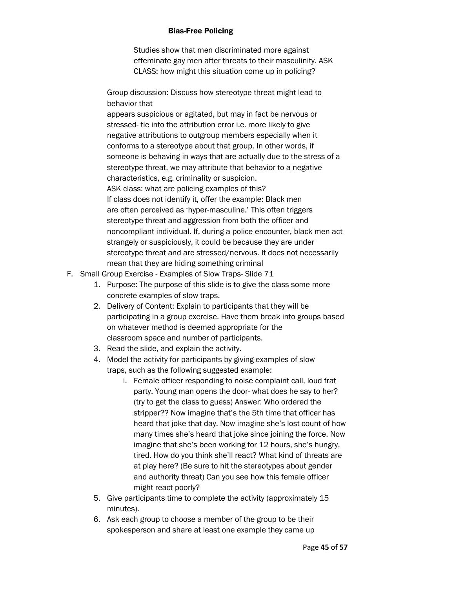Studies show that men discriminated more against effeminate gay men after threats to their masculinity. ASK CLASS: how might this situation come up in policing?

Group discussion: Discuss how stereotype threat might lead to behavior that

appears suspicious or agitated, but may in fact be nervous or stressed- tie into the attribution error i.e. more likely to give negative attributions to outgroup members especially when it conforms to a stereotype about that group. In other words, if someone is behaving in ways that are actually due to the stress of a stereotype threat, we may attribute that behavior to a negative characteristics, e.g. criminality or suspicion. ASK class: what are policing examples of this? If class does not identify it, offer the example: Black men are often perceived as 'hyper-masculine.' This often triggers stereotype threat and aggression from both the officer and noncompliant individual. If, during a police encounter, black men act strangely or suspiciously, it could be because they are under stereotype threat and are stressed/nervous. It does not necessarily mean that they are hiding something criminal

- F. Small Group Exercise Examples of Slow Traps- Slide 71
	- 1. Purpose: The purpose of this slide is to give the class some more concrete examples of slow traps.
	- 2. Delivery of Content: Explain to participants that they will be participating in a group exercise. Have them break into groups based on whatever method is deemed appropriate for the classroom space and number of participants.
	- 3. Read the slide, and explain the activity.
	- 4. Model the activity for participants by giving examples of slow traps, such as the following suggested example:
		- i. Female officer responding to noise complaint call, loud frat party. Young man opens the door- what does he say to her? (try to get the class to guess) Answer: Who ordered the stripper?? Now imagine that's the 5th time that officer has heard that joke that day. Now imagine she's lost count of how many times she's heard that joke since joining the force. Now imagine that she's been working for 12 hours, she's hungry, tired. How do you think she'll react? What kind of threats are at play here? (Be sure to hit the stereotypes about gender and authority threat) Can you see how this female officer might react poorly?
	- 5. Give participants time to complete the activity (approximately 15 minutes).
	- 6. Ask each group to choose a member of the group to be their spokesperson and share at least one example they came up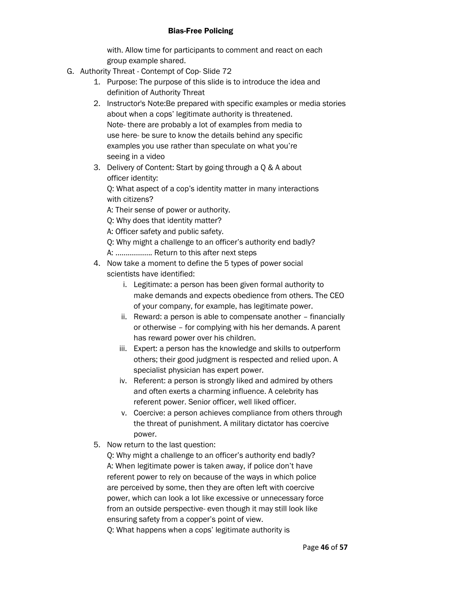with. Allow time for participants to comment and react on each group example shared.

- G. Authority Threat Contempt of Cop- Slide 72
	- 1. Purpose: The purpose of this slide is to introduce the idea and definition of Authority Threat
	- 2. Instructor's Note:Be prepared with specific examples or media stories about when a cops' legitimate authority is threatened. Note- there are probably a lot of examples from media to use here- be sure to know the details behind any specific examples you use rather than speculate on what you're seeing in a video
	- 3. Delivery of Content: Start by going through a Q & A about officer identity:

Q: What aspect of a cop's identity matter in many interactions with citizens?

A: Their sense of power or authority.

Q: Why does that identity matter?

A: Officer safety and public safety.

Q: Why might a challenge to an officer's authority end badly? A: .................. Return to this after next steps

- 4. Now take a moment to define the 5 types of power social scientists have identified:
	- i. Legitimate: a person has been given formal authority to make demands and expects obedience from others. The CEO of your company, for example, has legitimate power.
	- ii. Reward: a person is able to compensate another financially or otherwise – for complying with his her demands. A parent has reward power over his children.
	- iii. Expert: a person has the knowledge and skills to outperform others; their good judgment is respected and relied upon. A specialist physician has expert power.
	- iv. Referent: a person is strongly liked and admired by others and often exerts a charming influence. A celebrity has referent power. Senior officer, well liked officer.
	- v. Coercive: a person achieves compliance from others through the threat of punishment. A military dictator has coercive power.
- 5. Now return to the last question:

Q: Why might a challenge to an officer's authority end badly? A: When legitimate power is taken away, if police don't have referent power to rely on because of the ways in which police are perceived by some, then they are often left with coercive power, which can look a lot like excessive or unnecessary force from an outside perspective- even though it may still look like ensuring safety from a copper's point of view.

Q: What happens when a cops' legitimate authority is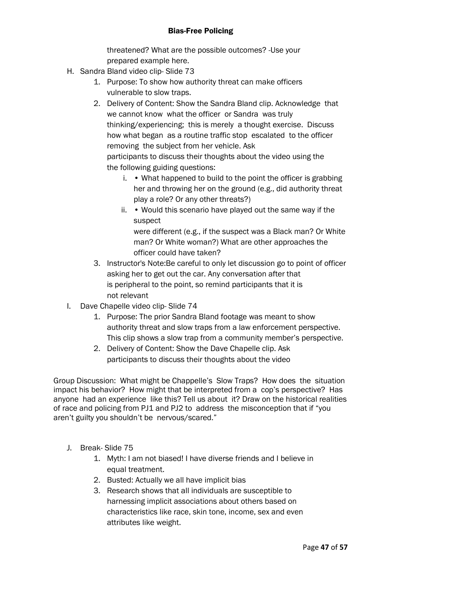threatened? What are the possible outcomes? -Use your prepared example here.

- H. Sandra Bland video clip- Slide 73
	- 1. Purpose: To show how authority threat can make officers vulnerable to slow traps.
	- 2. Delivery of Content: Show the Sandra Bland clip. Acknowledge that we cannot know what the officer or Sandra was truly thinking/experiencing; this is merely a thought exercise. Discuss how what began as a routine traffic stop escalated to the officer removing the subject from her vehicle. Ask participants to discuss their thoughts about the video using the the following guiding questions:
		- i. What happened to build to the point the officer is grabbing her and throwing her on the ground (e.g., did authority threat play a role? Or any other threats?)
		- ii. Would this scenario have played out the same way if the suspect were different (e.g., if the suspect was a Black man? Or White man? Or White woman?) What are other approaches the
			- officer could have taken?
	- 3. Instructor's Note:Be careful to only let discussion go to point of officer asking her to get out the car. Any conversation after that is peripheral to the point, so remind participants that it is not relevant
- I. Dave Chapelle video clip- Slide 74
	- 1. Purpose: The prior Sandra Bland footage was meant to show authority threat and slow traps from a law enforcement perspective. This clip shows a slow trap from a community member's perspective.
	- 2. Delivery of Content: Show the Dave Chapelle clip. Ask participants to discuss their thoughts about the video

Group Discussion: What might be Chappelle's Slow Traps? How does the situation impact his behavior? How might that be interpreted from a cop's perspective? Has anyone had an experience like this? Tell us about it? Draw on the historical realities of race and policing from PJ1 and PJ2 to address the misconception that if "you aren't guilty you shouldn't be nervous/scared."

- J. Break- Slide 75
	- 1. Myth: I am not biased! I have diverse friends and I believe in equal treatment.
	- 2. Busted: Actually we all have implicit bias
	- 3. Research shows that all individuals are susceptible to harnessing implicit associations about others based on characteristics like race, skin tone, income, sex and even attributes like weight.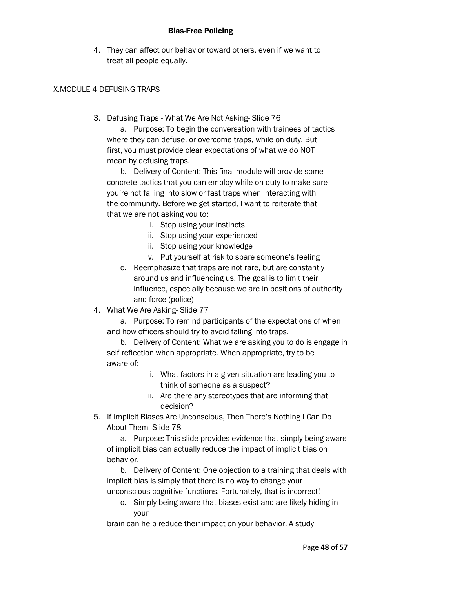4. They can affect our behavior toward others, even if we want to treat all people equally.

#### X.MODULE 4-DEFUSING TRAPS

3. Defusing Traps - What We Are Not Asking- Slide 76

a. Purpose: To begin the conversation with trainees of tactics where they can defuse, or overcome traps, while on duty. But first, you must provide clear expectations of what we do NOT mean by defusing traps.

b. Delivery of Content: This final module will provide some concrete tactics that you can employ while on duty to make sure you're not falling into slow or fast traps when interacting with the community. Before we get started, I want to reiterate that that we are not asking you to:

- i. Stop using your instincts
- ii. Stop using your experienced
- iii. Stop using your knowledge
- iv. Put yourself at risk to spare someone's feeling
- c. Reemphasize that traps are not rare, but are constantly around us and influencing us. The goal is to limit their influence, especially because we are in positions of authority and force (police)
- 4. What We Are Asking- Slide 77

a. Purpose: To remind participants of the expectations of when and how officers should try to avoid falling into traps.

b. Delivery of Content: What we are asking you to do is engage in self reflection when appropriate. When appropriate, try to be aware of:

- i. What factors in a given situation are leading you to think of someone as a suspect?
- ii. Are there any stereotypes that are informing that decision?
- 5. If Implicit Biases Are Unconscious, Then There's Nothing I Can Do About Them- Slide 78

a. Purpose: This slide provides evidence that simply being aware of implicit bias can actually reduce the impact of implicit bias on behavior.

b. Delivery of Content: One objection to a training that deals with implicit bias is simply that there is no way to change your unconscious cognitive functions. Fortunately, that is incorrect!

c. Simply being aware that biases exist and are likely hiding in your

brain can help reduce their impact on your behavior. A study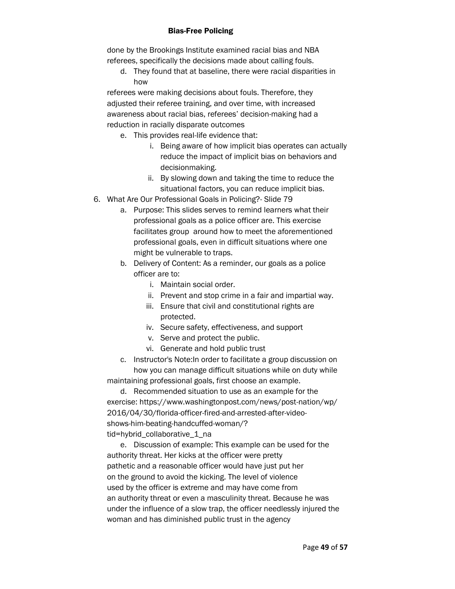done by the Brookings Institute examined racial bias and NBA referees, specifically the decisions made about calling fouls.

d. They found that at baseline, there were racial disparities in how

referees were making decisions about fouls. Therefore, they adjusted their referee training, and over time, with increased awareness about racial bias, referees' decision-making had a reduction in racially disparate outcomes

- e. This provides real-life evidence that:
	- i. Being aware of how implicit bias operates can actually reduce the impact of implicit bias on behaviors and decisionmaking.
	- ii. By slowing down and taking the time to reduce the situational factors, you can reduce implicit bias.
- 6. What Are Our Professional Goals in Policing?- Slide 79
	- a. Purpose: This slides serves to remind learners what their professional goals as a police officer are. This exercise facilitates group around how to meet the aforementioned professional goals, even in difficult situations where one might be vulnerable to traps.
	- b. Delivery of Content: As a reminder, our goals as a police officer are to:
		- i. Maintain social order.
		- ii. Prevent and stop crime in a fair and impartial way.
		- iii. Ensure that civil and constitutional rights are protected.
		- iv. Secure safety, effectiveness, and support
		- v. Serve and protect the public.
		- vi. Generate and hold public trust

c. Instructor's Note:In order to facilitate a group discussion on how you can manage difficult situations while on duty while maintaining professional goals, first choose an example.

d. Recommended situation to use as an example for the exercise: https://www.washingtonpost.com/news/post-nation/wp/ 2016/04/30/florida-officer-fired-and-arrested-after-videoshows-him-beating-handcuffed-woman/? tid=hybrid\_collaborative\_1\_na

e. Discussion of example: This example can be used for the authority threat. Her kicks at the officer were pretty pathetic and a reasonable officer would have just put her on the ground to avoid the kicking. The level of violence used by the officer is extreme and may have come from an authority threat or even a masculinity threat. Because he was under the influence of a slow trap, the officer needlessly injured the woman and has diminished public trust in the agency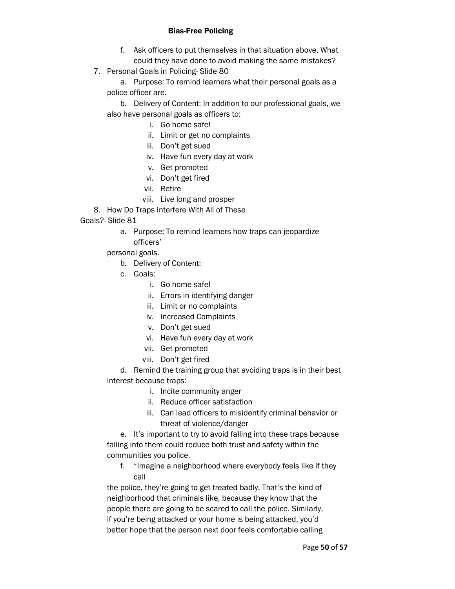- f. Ask officers to put themselves in that situation above. What could they have done to avoid making the same mistakes?
- 7. Personal Goals in Policing- Slide 80

a. Purpose: To remind learners what their personal goals as a police officer are.

b. Delivery of Content: In addition to our professional goals, we also have personal goals as officers to:

- i. Go home safe!
- ii. Limit or get no complaints
- iii. Don't get sued
- iv. Have fun every day at work
- v. Get promoted
- vi. Don't get fired
- vii. Retire
- viii. Live long and prosper
- 8. How Do Traps Interfere With All of These

Goals?- Slide 81

a. Purpose: To remind learners how traps can jeopardize officers'

personal goals.

- b. Delivery of Content:
- c. Goals:
	- i. Go home safe!
	- ii. Errors in identifying danger
	- iii. Limit or no complaints
	- iv. Increased Complaints
	- v. Don't get sued
	- vi. Have fun every day at work
	- vii. Get promoted
	- viii. Don't get fired

d. Remind the training group that avoiding traps is in their best interest because traps:

- i. Incite community anger
- ii. Reduce officer satisfaction
- iii. Can lead officers to misidentify criminal behavior or threat of violence/danger

e. It's important to try to avoid falling into these traps because falling into them could reduce both trust and safety within the communities you police.

f. "Imagine a neighborhood where everybody feels like if they call

the police, they're going to get treated badly. That's the kind of neighborhood that criminals like, because they know that the people there are going to be scared to call the police. Similarly, if you're being attacked or your home is being attacked, you'd better hope that the person next door feels comfortable calling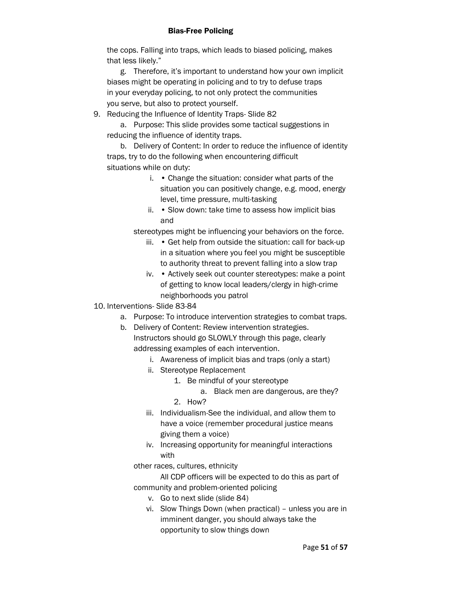the cops. Falling into traps, which leads to biased policing, makes that less likely."

g. Therefore, it's important to understand how your own implicit biases might be operating in policing and to try to defuse traps in your everyday policing, to not only protect the communities you serve, but also to protect yourself.

9. Reducing the Influence of Identity Traps- Slide 82

a. Purpose: This slide provides some tactical suggestions in reducing the influence of identity traps.

b. Delivery of Content: In order to reduce the influence of identity traps, try to do the following when encountering difficult situations while on duty:

- i. Change the situation: consider what parts of the situation you can positively change, e.g. mood, energy level, time pressure, multi-tasking
- ii. Slow down: take time to assess how implicit bias and

stereotypes might be influencing your behaviors on the force.

- iii. Get help from outside the situation: call for back-up in a situation where you feel you might be susceptible to authority threat to prevent falling into a slow trap
- iv. Actively seek out counter stereotypes: make a point of getting to know local leaders/clergy in high-crime neighborhoods you patrol
- 10. Interventions- Slide 83-84
	- a. Purpose: To introduce intervention strategies to combat traps.
	- b. Delivery of Content: Review intervention strategies. Instructors should go SLOWLY through this page, clearly addressing examples of each intervention.
		- i. Awareness of implicit bias and traps (only a start)
		- ii. Stereotype Replacement
			- 1. Be mindful of your stereotype
				- a. Black men are dangerous, are they?
			- 2. How?
		- iii. Individualism-See the individual, and allow them to have a voice (remember procedural justice means giving them a voice)
		- iv. Increasing opportunity for meaningful interactions with

other races, cultures, ethnicity

All CDP officers will be expected to do this as part of community and problem-oriented policing

- v. Go to next slide (slide 84)
- vi. Slow Things Down (when practical) unless you are in imminent danger, you should always take the opportunity to slow things down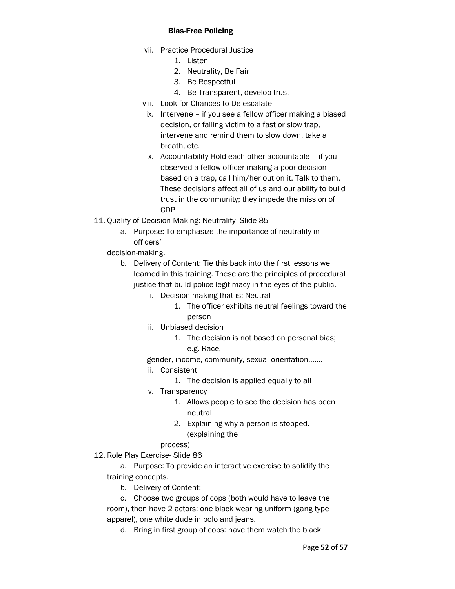- vii. Practice Procedural Justice
	- 1. Listen
	- 2. Neutrality, Be Fair
	- 3. Be Respectful
	- 4. Be Transparent, develop trust
- viii. Look for Chances to De-escalate
- ix. Intervene if you see a fellow officer making a biased decision, or falling victim to a fast or slow trap, intervene and remind them to slow down, take a breath, etc.
- x. Accountability-Hold each other accountable if you observed a fellow officer making a poor decision based on a trap, call him/her out on it. Talk to them. These decisions affect all of us and our ability to build trust in the community; they impede the mission of CDP
- 11. Quality of Decision-Making: Neutrality- Slide 85
	- a. Purpose: To emphasize the importance of neutrality in officers'

decision-making.

- b. Delivery of Content: Tie this back into the first lessons we learned in this training. These are the principles of procedural justice that build police legitimacy in the eyes of the public.
	- i. Decision-making that is: Neutral
		- 1. The officer exhibits neutral feelings toward the person
	- ii. Unbiased decision
		- 1. The decision is not based on personal bias; e.g. Race,

gender, income, community, sexual orientation…….

- iii. Consistent
	- 1. The decision is applied equally to all
- iv. Transparency
	- 1. Allows people to see the decision has been neutral
	- 2. Explaining why a person is stopped. (explaining the

# process)

12. Role Play Exercise- Slide 86

- a. Purpose: To provide an interactive exercise to solidify the training concepts.
	- b. Delivery of Content:
- c. Choose two groups of cops (both would have to leave the room), then have 2 actors: one black wearing uniform (gang type apparel), one white dude in polo and jeans.
	- d. Bring in first group of cops: have them watch the black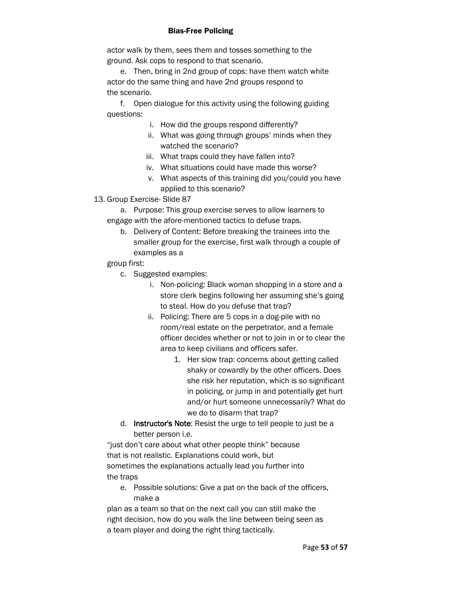actor walk by them, sees them and tosses something to the ground. Ask cops to respond to that scenario.

e. Then, bring in 2nd group of cops: have them watch white actor do the same thing and have 2nd groups respond to the scenario.

f. Open dialogue for this activity using the following guiding questions:

- i. How did the groups respond differently?
- ii. What was going through groups' minds when they watched the scenario?
- iii. What traps could they have fallen into?
- iv. What situations could have made this worse?
- v. What aspects of this training did you/could you have applied to this scenario?
- 13. Group Exercise- Slide 87

a. Purpose: This group exercise serves to allow learners to engage with the afore-mentioned tactics to defuse traps.

b. Delivery of Content: Before breaking the trainees into the smaller group for the exercise, first walk through a couple of examples as a

group first:

- c. Suggested examples:
	- i. Non-policing: Black woman shopping in a store and a store clerk begins following her assuming she's going to steal. How do you defuse that trap?
	- ii. Policing: There are 5 cops in a dog-pile with no room/real estate on the perpetrator, and a female officer decides whether or not to join in or to clear the area to keep civilians and officers safer.
		- 1. Her slow trap: concerns about getting called shaky or cowardly by the other officers. Does she risk her reputation, which is so significant in policing, or jump in and potentially get hurt and/or hurt someone unnecessarily? What do we do to disarm that trap?
- d. Instructor's Note: Resist the urge to tell people to just be a better person i.e.

"just don't care about what other people think" because that is not realistic. Explanations could work, but sometimes the explanations actually lead you further into the traps

e. Possible solutions: Give a pat on the back of the officers, make a

plan as a team so that on the next call you can still make the right decision, how do you walk the line between being seen as a team player and doing the right thing tactically.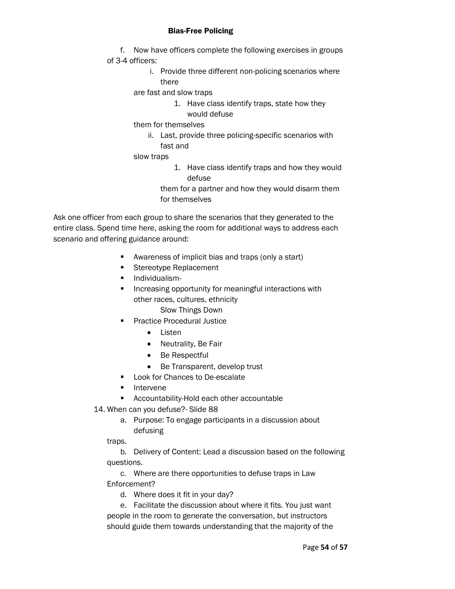- f. Now have officers complete the following exercises in groups of 3-4 officers:
	- i. Provide three different non-policing scenarios where there

are fast and slow traps

1. Have class identify traps, state how they would defuse

them for themselves

- ii. Last, provide three policing-specific scenarios with fast and
- slow traps
	- 1. Have class identify traps and how they would defuse

them for a partner and how they would disarm them for themselves

Ask one officer from each group to share the scenarios that they generated to the entire class. Spend time here, asking the room for additional ways to address each scenario and offering guidance around:

- Awareness of implicit bias and traps (only a start)
- Stereotype Replacement
- Individualism-
- Increasing opportunity for meaningful interactions with other races, cultures, ethnicity
	- Slow Things Down
- **Practice Procedural Justice** 
	- Listen
	- Neutrality, Be Fair
	- Be Respectful
	- Be Transparent, develop trust
- **Look for Chances to De-escalate**
- **Intervene**
- **EXECOUNTABILITY-Hold each other accountable**
- 14. When can you defuse?- Slide 88
	- a. Purpose: To engage participants in a discussion about defusing

traps.

b. Delivery of Content: Lead a discussion based on the following questions.

c. Where are there opportunities to defuse traps in Law Enforcement?

d. Where does it fit in your day?

e. Facilitate the discussion about where it fits. You just want people in the room to generate the conversation, but instructors should guide them towards understanding that the majority of the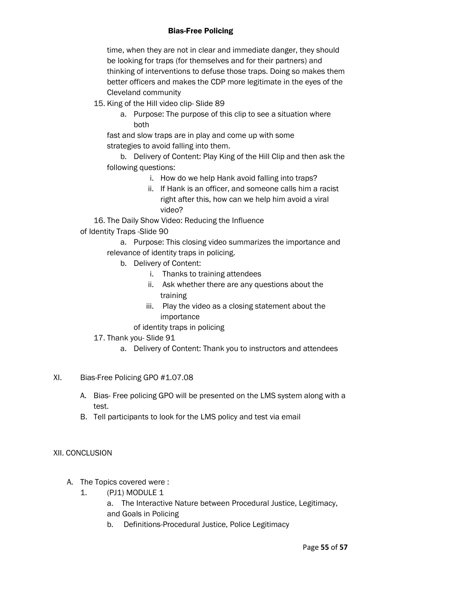time, when they are not in clear and immediate danger, they should be looking for traps (for themselves and for their partners) and thinking of interventions to defuse those traps. Doing so makes them better officers and makes the CDP more legitimate in the eyes of the Cleveland community

- 15. King of the Hill video clip- Slide 89
	- a. Purpose: The purpose of this clip to see a situation where both

fast and slow traps are in play and come up with some strategies to avoid falling into them.

b. Delivery of Content: Play King of the Hill Clip and then ask the following questions:

- i. How do we help Hank avoid falling into traps?
- ii. If Hank is an officer, and someone calls him a racist right after this, how can we help him avoid a viral video?

16. The Daily Show Video: Reducing the Influence

of Identity Traps -Slide 90

a. Purpose: This closing video summarizes the importance and relevance of identity traps in policing.

- b. Delivery of Content:
	- i. Thanks to training attendees
	- ii. Ask whether there are any questions about the training
	- iii. Play the video as a closing statement about the importance

# of identity traps in policing

# 17. Thank you- Slide 91

a. Delivery of Content: Thank you to instructors and attendees

# XI. Bias-Free Policing GPO #1.07.08

- A. Bias- Free policing GPO will be presented on the LMS system along with a test.
- B. Tell participants to look for the LMS policy and test via email

# XII. CONCLUSION

- A. The Topics covered were :
	- 1. (PJ1) MODULE 1
		- a. The Interactive Nature between Procedural Justice, Legitimacy,
		- and Goals in Policing
		- b. Definitions-Procedural Justice, Police Legitimacy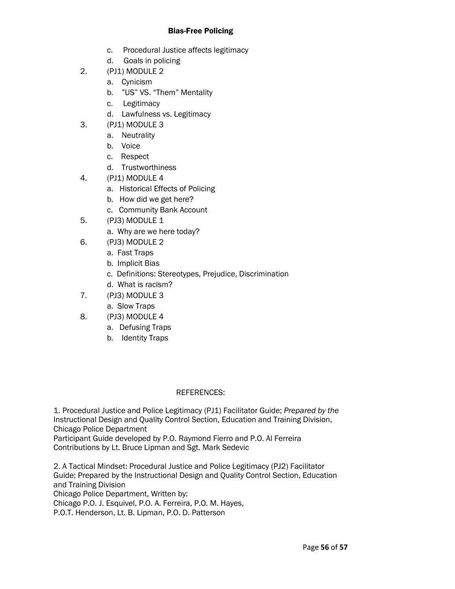- c. Procedural Justice affects legitimacy
- d. Goals in policing
- 2. (PJ1) MODULE 2
	- a. Cynicism
	- b. "US" VS. "Them" Mentality
	- c. Legitimacy
	- d. Lawfulness vs. Legitimacy
- 3. (PJ1) MODULE 3
	- a. Neutrality
	- b. Voice
	- c. Respect
	- d. Trustworthiness
- 4. (PJ1) MODULE 4
	- a. Historical Effects of Policing
	- b. How did we get here?
	- c. Community Bank Account
- 5. (PJ3) MODULE 1
	- a. Why are we here today?
- 6. (PJ3) MODULE 2
	- a. Fast Traps
	- b. Implicit Bias
	- c. Definitions: Stereotypes, Prejudice, Discrimination
	- d. What is racism?
- 7. (PJ3) MODULE 3
	- a. Slow Traps
- 8. (PJ3) MODULE 4
	- a. Defusing Traps
	- b. Identity Traps

# REFERENCES:

1. Procedural Justice and Police Legitimacy (PJ1) Facilitator Guide; *Prepared by the*  Instructional Design and Quality Control Section, Education and Training Division, Chicago Police Department

Participant Guide developed by P.O. Raymond Fierro and P.O. Al Ferreira Contributions by Lt. Bruce Lipman and Sgt. Mark Sedevic

2. A Tactical Mindset: Procedural Justice and Police Legitimacy (PJ2) Facilitator Guide; Prepared by the Instructional Design and Quality Control Section, Education and Training Division Chicago Police Department, Written by:

Chicago P.O. J. Esquivel, P.O. A. Ferreira, P.O. M. Hayes,

P.O.T. Henderson, Lt. B. Lipman, P.O. D. Patterson